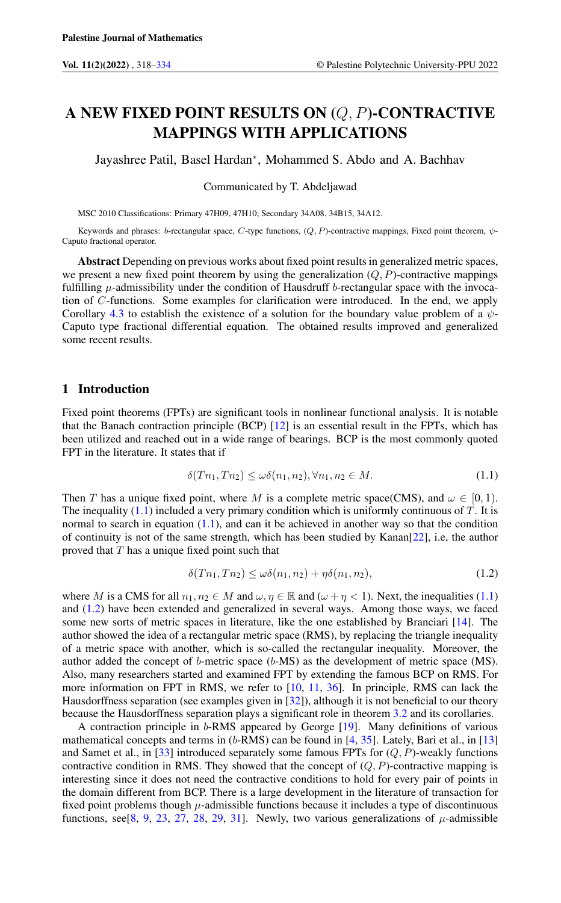# A NEW FIXED POINT RESULTS ON (Q, P)-CONTRACTIVE MAPPINGS WITH APPLICATIONS

Jayashree Patil, Basel Hardan<sup>∗</sup> , Mohammed S. Abdo and A. Bachhav

Communicated by T. Abdeljawad

MSC 2010 Classifications: Primary 47H09, 47H10; Secondary 34A08, 34B15, 34A12.

Keywords and phrases: b-rectangular space, C-type functions,  $(Q, P)$ -contractive mappings, Fixed point theorem,  $\psi$ -Caputo fractional operator.

Abstract Depending on previous works about fixed point results in generalized metric spaces, we present a new fixed point theorem by using the generalization  $(Q, P)$ -contractive mappings fulfilling  $\mu$ -admissibility under the condition of Hausdruff b-rectangular space with the invocation of C-functions. Some examples for clarification were introduced. In the end, we apply Corollary [4.3](#page-11-0) to establish the existence of a solution for the boundary value problem of a  $\psi$ -Caputo type fractional differential equation. The obtained results improved and generalized some recent results.

# 1 Introduction

Fixed point theorems (FPTs) are significant tools in nonlinear functional analysis. It is notable that the Banach contraction principle (BCP) [\[12\]](#page-14-1) is an essential result in the FPTs, which has been utilized and reached out in a wide range of bearings. BCP is the most commonly quoted FPT in the literature. It states that if

<span id="page-0-0"></span>
$$
\delta(Tn_1, Tn_2) \le \omega \delta(n_1, n_2), \forall n_1, n_2 \in M. \tag{1.1}
$$

Then T has a unique fixed point, where M is a complete metric space(CMS), and  $\omega \in [0, 1)$ . The inequality  $(1.1)$  included a very primary condition which is uniformly continuous of T. It is normal to search in equation  $(1.1)$ , and can it be achieved in another way so that the condition of continuity is not of the same strength, which has been studied by Kanan[\[22\]](#page-15-0), i.e, the author proved that T has a unique fixed point such that

<span id="page-0-1"></span>
$$
\delta(Tn_1, Tn_2) \le \omega \delta(n_1, n_2) + \eta \delta(n_1, n_2),\tag{1.2}
$$

where M is a CMS for all  $n_1, n_2 \in M$  and  $\omega, \eta \in \mathbb{R}$  and  $(\omega + \eta < 1)$ . Next, the inequalities [\(1.1\)](#page-0-0) and [\(1.2\)](#page-0-1) have been extended and generalized in several ways. Among those ways, we faced some new sorts of metric spaces in literature, like the one established by Branciari [\[14\]](#page-14-2). The author showed the idea of a rectangular metric space (RMS), by replacing the triangle inequality of a metric space with another, which is so-called the rectangular inequality. Moreover, the author added the concept of b-metric space (b-MS) as the development of metric space (MS). Also, many researchers started and examined FPT by extending the famous BCP on RMS. For more information on FPT in RMS, we refer to [\[10,](#page-14-3) [11,](#page-14-4) [36\]](#page-15-1). In principle, RMS can lack the Hausdorffness separation (see examples given in [\[32\]](#page-15-2)), although it is not beneficial to our theory because the Hausdorffness separation plays a significant role in theorem [3.2](#page-3-0) and its corollaries.

A contraction principle in b-RMS appeared by George [\[19\]](#page-14-5). Many definitions of various mathematical concepts and terms in  $(b-RMS)$  can be found in [\[4,](#page-14-6) [35\]](#page-15-3). Lately, Bari et al., in [\[13\]](#page-14-7) and Samet et al., in [\[33\]](#page-15-4) introduced separately some famous FPTs for  $(Q, P)$ -weakly functions contractive condition in RMS. They showed that the concept of  $(Q, P)$ -contractive mapping is interesting since it does not need the contractive conditions to hold for every pair of points in the domain different from BCP. There is a large development in the literature of transaction for fixed point problems though  $\mu$ -admissible functions because it includes a type of discontinuous functions, see [\[8,](#page-14-8) [9,](#page-14-9) [23,](#page-15-5) [27,](#page-15-6) [28,](#page-15-7) [29,](#page-15-8) [31\]](#page-15-9). Newly, two various generalizations of  $\mu$ -admissible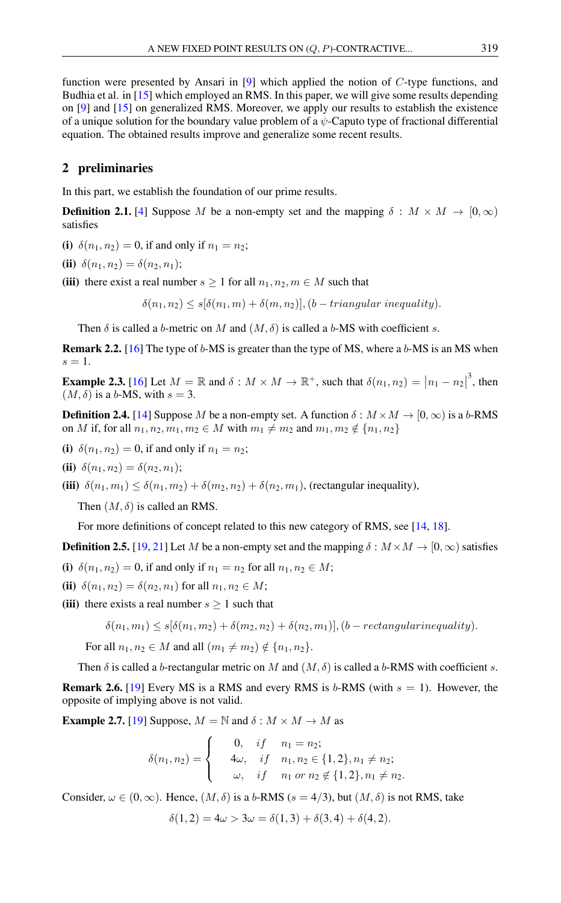function were presented by Ansari in [\[9\]](#page-14-9) which applied the notion of C-type functions, and Budhia et al. in [\[15\]](#page-14-10) which employed an RMS. In this paper, we will give some results depending on [\[9\]](#page-14-9) and [\[15\]](#page-14-10) on generalized RMS. Moreover, we apply our results to establish the existence of a unique solution for the boundary value problem of a  $\psi$ -Caputo type of fractional differential equation. The obtained results improve and generalize some recent results.

# 2 preliminaries

In this part, we establish the foundation of our prime results.

**Definition 2.1.** [\[4\]](#page-14-6) Suppose M be a non-empty set and the mapping  $\delta : M \times M \to [0, \infty)$ satisfies

(i)  $\delta(n_1, n_2) = 0$ , if and only if  $n_1 = n_2$ ;

**(ii)** 
$$
\delta(n_1, n_2) = \delta(n_2, n_1);
$$

(iii) there exist a real number  $s \ge 1$  for all  $n_1, n_2, m \in M$  such that

 $\delta(n_1, n_2) \leq s[\delta(n_1, m) + \delta(m, n_2)], (b - triangular inequality).$ 

Then  $\delta$  is called a b-metric on M and  $(M, \delta)$  is called a b-MS with coefficient s.

**Remark 2.2.** [\[16\]](#page-14-11) The type of  $b$ -MS is greater than the type of MS, where a  $b$ -MS is an MS when  $s=1$ .

**Example 2.3.** [\[16\]](#page-14-11) Let  $M = \mathbb{R}$  and  $\delta : M \times M \to \mathbb{R}^+$ , such that  $\delta(n_1, n_2) = |n_1 - n_2|$  $3$ , then  $(M, \delta)$  is a b-MS, with  $s = 3$ .

**Definition 2.4.** [\[14\]](#page-14-2) Suppose M be a non-empty set. A function  $\delta : M \times M \to [0, \infty)$  is a b-RMS on *M* if, for all  $n_1, n_2, m_1, m_2 \in M$  with  $m_1 \neq m_2$  and  $m_1, m_2 \notin \{n_1, n_2\}$ 

(i)  $\delta(n_1, n_2) = 0$ , if and only if  $n_1 = n_2$ ;

**(ii)** 
$$
\delta(n_1, n_2) = \delta(n_2, n_1);
$$

(iii)  $\delta(n_1, m_1) \leq \delta(n_1, m_2) + \delta(m_2, n_2) + \delta(n_2, m_1)$ , (rectangular inequality),

Then  $(M, \delta)$  is called an RMS.

For more definitions of concept related to this new category of RMS, see [\[14,](#page-14-2) [18\]](#page-14-12).

**Definition 2.5.** [\[19,](#page-14-5) [21\]](#page-15-10) Let M be a non-empty set and the mapping  $\delta : M \times M \to [0, \infty)$  satisfies

(i)  $\delta(n_1, n_2) = 0$ , if and only if  $n_1 = n_2$  for all  $n_1, n_2 \in M$ ;

**(ii)** 
$$
\delta(n_1, n_2) = \delta(n_2, n_1)
$$
 for all  $n_1, n_2 \in M$ ;

(iii) there exists a real number  $s \geq 1$  such that

$$
\delta(n_1, m_1) \leq s[\delta(n_1, m_2) + \delta(m_2, n_2) + \delta(n_2, m_1)], (b - rectangular inequality).
$$

For all  $n_1, n_2 \in M$  and all  $(m_1 \neq m_2) \notin \{n_1, n_2\}.$ 

Then  $\delta$  is called a b-rectangular metric on M and  $(M, \delta)$  is called a b-RMS with coefficient s.

**Remark 2.6.** [\[19\]](#page-14-5) Every MS is a RMS and every RMS is b-RMS (with  $s = 1$ ). However, the opposite of implying above is not valid.

**Example 2.7.** [\[19\]](#page-14-5) Suppose,  $M = N$  and  $\delta : M \times M \rightarrow M$  as

$$
\delta(n_1, n_2) = \begin{cases}\n0, & if \quad n_1 = n_2; \\
4\omega, & if \quad n_1, n_2 \in \{1, 2\}, n_1 \neq n_2; \\
\omega, & if \quad n_1 \text{ or } n_2 \notin \{1, 2\}, n_1 \neq n_2.\n\end{cases}
$$

Consider,  $\omega \in (0, \infty)$ . Hence,  $(M, \delta)$  is a b-RMS  $(s = 4/3)$ , but  $(M, \delta)$  is not RMS, take

$$
\delta(1,2) = 4\omega > 3\omega = \delta(1,3) + \delta(3,4) + \delta(4,2).
$$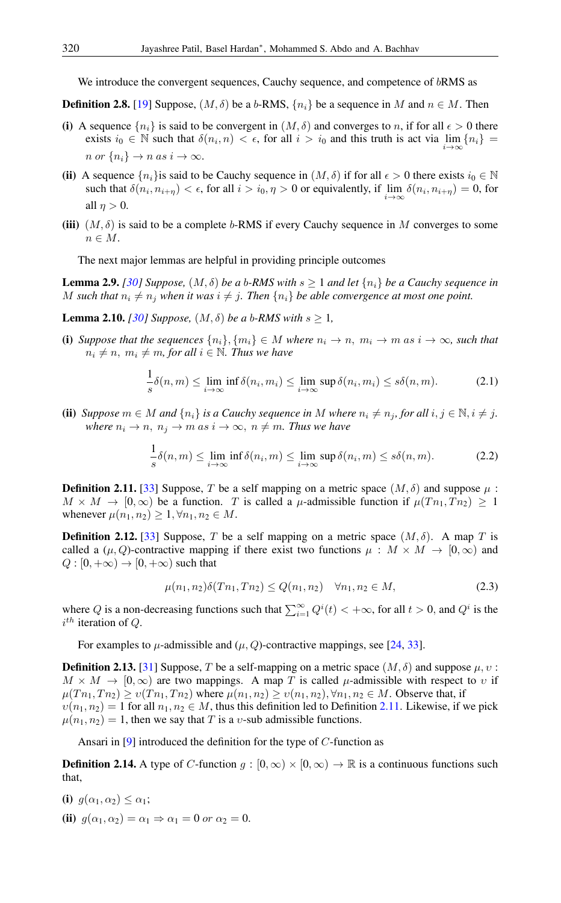We introduce the convergent sequences, Cauchy sequence, and competence of  $bRMS$  as

**Definition 2.8.** [\[19\]](#page-14-5) Suppose,  $(M, \delta)$  be a b-RMS,  $\{n_i\}$  be a sequence in M and  $n \in M$ . Then

- (i) A sequence  $\{n_i\}$  is said to be convergent in  $(M, \delta)$  and converges to n, if for all  $\epsilon > 0$  there exists  $i_0 \in \mathbb{N}$  such that  $\delta(n_i, n) < \epsilon$ , for all  $i > i_0$  and this truth is act via  $\lim_{n \to \infty} \{n_i\}$  $i \rightarrow \infty$ n or  $\{n_i\} \to n$  as  $i \to \infty$ .
- (ii) A sequence  $\{n_i\}$  is said to be Cauchy sequence in  $(M, \delta)$  if for all  $\epsilon > 0$  there exists  $i_0 \in \mathbb{N}$ such that  $\delta(n_i, n_{i+\eta}) < \epsilon$ , for all  $i > i_0, \eta > 0$  or equivalently, if  $\lim_{i \to \infty} \delta(n_i, n_{i+\eta}) = 0$ , for all  $n > 0$ .
- (iii)  $(M, \delta)$  is said to be a complete b-RMS if every Cauchy sequence in M converges to some  $n \in M$ .

The next major lemmas are helpful in providing principle outcomes

**Lemma 2.9.** *[\[30\]](#page-15-11) Suppose,*  $(M, \delta)$  *be a b-RMS with*  $s \geq 1$  *and let*  $\{n_i\}$  *be a Cauchy sequence in* M such that  $n_i \neq n_j$  when it was  $i \neq j$ . Then  $\{n_i\}$  be able convergence at most one point.

**Lemma 2.10.** *[\[30\]](#page-15-11) Suppose,*  $(M, \delta)$  *be a b-RMS with*  $s \geq 1$ *,* 

(i) Suppose that the sequences  $\{n_i\}, \{m_i\} \in M$  where  $n_i \to n$ ,  $m_i \to m$  as  $i \to \infty$ , such that  $n_i \neq n, m_i \neq m$ , for all  $i \in \mathbb{N}$ . Thus we have

$$
\frac{1}{s}\delta(n,m) \le \lim_{i \to \infty} \inf \delta(n_i, m_i) \le \lim_{i \to \infty} \sup \delta(n_i, m_i) \le s\delta(n,m). \tag{2.1}
$$

(ii) *Suppose*  $m \in M$  *and*  $\{n_i\}$  *is a Cauchy sequence in* M *where*  $n_i \neq n_j$ *, for all*  $i, j \in \mathbb{N}, i \neq j$ *. where*  $n_i \rightarrow n$ ,  $n_j \rightarrow m$  *as*  $i \rightarrow \infty$ ,  $n \neq m$ *. Thus we have* 

$$
\frac{1}{s}\delta(n,m) \le \lim_{i \to \infty} \inf \delta(n_i,m) \le \lim_{i \to \infty} \sup \delta(n_i,m) \le s\delta(n,m). \tag{2.2}
$$

<span id="page-2-0"></span>**Definition 2.11.** [\[33\]](#page-15-4) Suppose, T be a self mapping on a metric space  $(M, \delta)$  and suppose  $\mu$ :  $M \times M \to [0, \infty)$  be a function. T is called a  $\mu$ -admissible function if  $\mu(Tn_1, Tn_2) \geq 1$ whenever  $\mu(n_1, n_2) \geq 1, \forall n_1, n_2 \in M$ .

**Definition 2.12.** [\[33\]](#page-15-4) Suppose, T be a self mapping on a metric space  $(M, \delta)$ . A map T is called a  $(\mu, Q)$ -contractive mapping if there exist two functions  $\mu : M \times M \to [0, \infty)$  and  $Q : [0, +\infty) \to [0, +\infty)$  such that

$$
\mu(n_1, n_2)\delta(Tn_1, Tn_2) \le Q(n_1, n_2) \quad \forall n_1, n_2 \in M,\tag{2.3}
$$

where Q is a non-decreasing functions such that  $\sum_{i=1}^{\infty} Q^{i}(t) < +\infty$ , for all  $t > 0$ , and  $Q^{i}$  is the  $i^{th}$  iteration of Q.

For examples to  $\mu$ -admissible and  $(\mu, Q)$ -contractive mappings, see [\[24,](#page-15-12) [33\]](#page-15-4).

<span id="page-2-1"></span>**Definition 2.13.** [\[31\]](#page-15-9) Suppose, T be a self-mapping on a metric space  $(M, \delta)$  and suppose  $\mu, \nu$ :  $M \times M \to [0,\infty)$  are two mappings. A map T is called  $\mu$ -admissible with respect to v if  $\mu(T n_1, T n_2) \ge v(T n_1, T n_2)$  where  $\mu(n_1, n_2) \ge v(n_1, n_2)$ ,  $\forall n_1, n_2 \in M$ . Observe that, if  $v(n_1, n_2) = 1$  for all  $n_1, n_2 \in M$ , thus this definition led to Definition [2.11.](#page-2-0) Likewise, if we pick  $\mu(n_1, n_2) = 1$ , then we say that T is a v-sub admissible functions.

Ansari in [\[9\]](#page-14-9) introduced the definition for the type of C-function as

**Definition 2.14.** A type of C-function  $g : [0, \infty) \times [0, \infty) \to \mathbb{R}$  is a continuous functions such that,

- (i)  $g(\alpha_1, \alpha_2) \leq \alpha_1$ ;
- (ii)  $g(\alpha_1, \alpha_2) = \alpha_1 \Rightarrow \alpha_1 = 0$  or  $\alpha_2 = 0$ .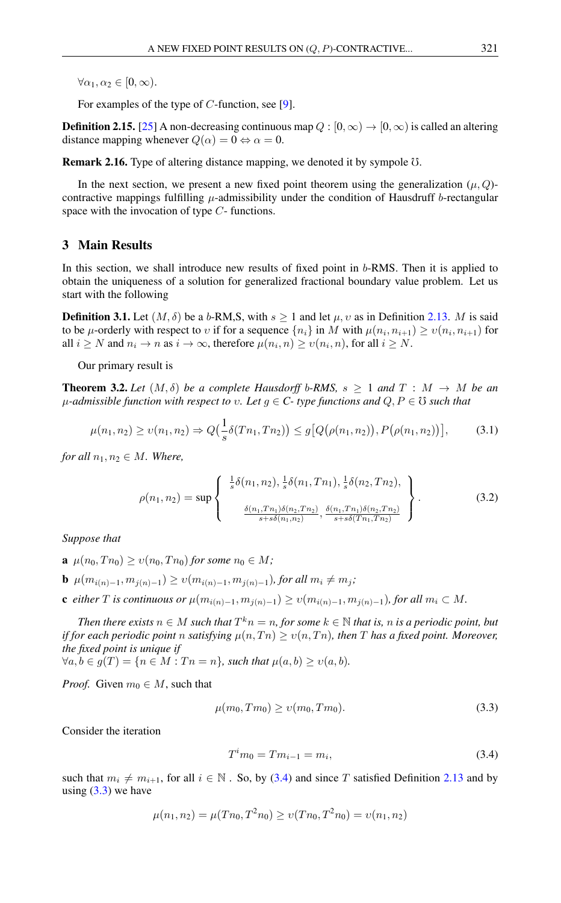$\forall \alpha_1, \alpha_2 \in [0, \infty).$ 

For examples of the type of C-function, see [\[9\]](#page-14-9).

<span id="page-3-4"></span>**Definition 2.15.** [\[25\]](#page-15-13) A non-decreasing continuous map  $Q : [0, \infty) \to [0, \infty)$  is called an altering distance mapping whenever  $Q(\alpha) = 0 \Leftrightarrow \alpha = 0$ .

Remark 2.16. Type of altering distance mapping, we denoted it by sympole  $\sigma$ .

In the next section, we present a new fixed point theorem using the generalization  $(\mu, Q)$ contractive mappings fulfilling  $\mu$ -admissibility under the condition of Hausdruff b-rectangular space with the invocation of type C- functions.

# 3 Main Results

In this section, we shall introduce new results of fixed point in b-RMS. Then it is applied to obtain the uniqueness of a solution for generalized fractional boundary value problem. Let us start with the following

**Definition 3.1.** Let  $(M, \delta)$  be a b-RM,S, with  $s \ge 1$  and let  $\mu$ ,  $\upsilon$  as in Definition [2.13.](#page-2-1) M is said to be  $\mu$ -orderly with respect to v if for a sequence  $\{n_i\}$  in M with  $\mu(n_i, n_{i+1}) \ge v(n_i, n_{i+1})$  for all  $i \geq N$  and  $n_i \to n$  as  $i \to \infty$ , therefore  $\mu(n_i, n) \geq \nu(n_i, n)$ , for all  $i \geq N$ .

Our primary result is

<span id="page-3-0"></span>**Theorem 3.2.** Let  $(M, \delta)$  be a complete Hausdorff b-RMS,  $s \geq 1$  and  $T : M \rightarrow M$  be an  $\mu$ -admissible function with respect to v. Let  $g \in C$ - type functions and  $Q, P \in \mathcal{O}$  such that

$$
\mu(n_1, n_2) \ge \nu(n_1, n_2) \Rightarrow Q\left(\frac{1}{s}\delta(Tn_1, Tn_2)\right) \le g\big[Q\big(\rho(n_1, n_2)\big), P\big(\rho(n_1, n_2)\big)\big],\tag{3.1}
$$

*for all*  $n_1, n_2 \in M$ *. Where,* 

<span id="page-3-3"></span>
$$
\rho(n_1, n_2) = \sup \left\{ \begin{array}{c} \frac{1}{s} \delta(n_1, n_2), \frac{1}{s} \delta(n_1, T n_1), \frac{1}{s} \delta(n_2, T n_2), \\ \frac{\delta(n_1, T n_1) \delta(n_2, T n_2)}{s + s \delta(n_1, n_2)}, \frac{\delta(n_1, T n_1) \delta(n_2, T n_2)}{s + s \delta(T n_1, T n_2)} \end{array} \right\}.
$$
(3.2)

*Suppose that*

- **a**  $\mu(n_0, T n_0) \ge v(n_0, T n_0)$  *for some*  $n_0 \in M$ *;*
- **b**  $\mu(m_{i(n)-1}, m_{j(n)-1}) \ge v(m_{i(n)-1}, m_{j(n)-1})$ , for all  $m_i \ne m_j$ ;
- **c** either T is continuous or  $\mu(m_{i(n)-1}, m_{j(n)-1}) \ge v(m_{i(n)-1}, m_{j(n)-1})$ , for all  $m_i \subset M$ .

*Then there exists*  $n \in M$  *such that*  $T^k n = n$ , for some  $k \in \mathbb{N}$  *that is, n is a periodic point, but if for each periodic point* n *satisfying*  $\mu(n, T_n) \ge \nu(n, T_n)$ *, then* T has a fixed point. Moreover, *the fixed point is unique if*

 $\forall a, b \in g(T) = \{n \in M : Tn = n\}$ , such that  $\mu(a, b) \geq \nu(a, b)$ .

*Proof.* Given  $m_0 \in M$ , such that

$$
\mu(m_0, Tm_0) \ge v(m_0, Tm_0). \tag{3.3}
$$

Consider the iteration

<span id="page-3-2"></span><span id="page-3-1"></span>
$$
T^i m_0 = T m_{i-1} = m_i,
$$
\n(3.4)

such that  $m_i \neq m_{i+1}$ , for all  $i \in \mathbb{N}$ . So, by [\(3.4\)](#page-3-1) and since T satisfied Definition [2.13](#page-2-1) and by using  $(3.3)$  we have

$$
\mu(n_1, n_2) = \mu(Tn_0, T^2n_0) \ge \nu(Tn_0, T^2n_0) = \nu(n_1, n_2)
$$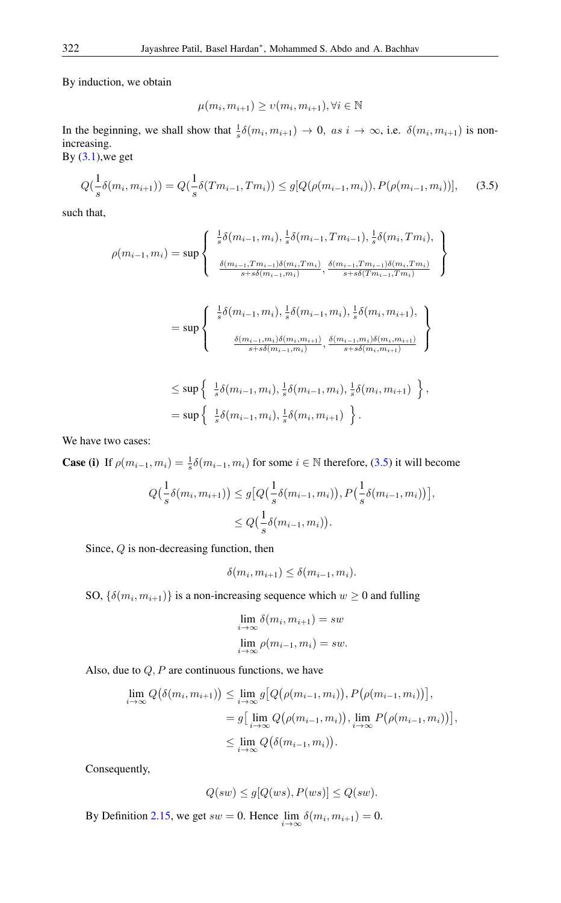By induction, we obtain

<span id="page-4-0"></span>
$$
\mu(m_i, m_{i+1}) \ge \nu(m_i, m_{i+1}), \forall i \in \mathbb{N}
$$

In the beginning, we shall show that  $\frac{1}{s}\delta(m_i, m_{i+1}) \to 0$ , as  $i \to \infty$ , i.e.  $\delta(m_i, m_{i+1})$  is nonincreasing.

By  $(3.1)$ , we get

$$
Q(\frac{1}{s}\delta(m_i, m_{i+1})) = Q(\frac{1}{s}\delta(Tm_{i-1}, Tm_i)) \le g[Q(\rho(m_{i-1}, m_i)), P(\rho(m_{i-1}, m_i))], \quad (3.5)
$$

such that,

$$
\rho(m_{i-1}, m_i) = \sup \left\{ \begin{array}{c} \frac{1}{s} \delta(m_{i-1}, m_i), \frac{1}{s} \delta(m_{i-1}, Tm_{i-1}), \frac{1}{s} \delta(m_i, Tm_i), \\ \frac{\delta(m_{i-1}, Tm_{i-1}) \delta(m_i, Tm_i)}{s + s \delta(m_{i-1}, m_i)}, \frac{\delta(m_{i-1}, Tm_{i-1}) \delta(m_i, Tm_i)}{s + s \delta(Tm_{i-1}, Tm_i)} \end{array} \right\}
$$
  
\n
$$
= \sup \left\{ \begin{array}{c} \frac{1}{s} \delta(m_{i-1}, m_i), \frac{1}{s} \delta(m_{i-1}, m_i), \frac{1}{s} \delta(m_i, m_{i+1}), \\ \frac{\delta(m_{i-1}, m_i) \delta(m_i, m_{i+1})}{s + s \delta(m_{i-1}, m_i)}, \frac{\delta(m_{i-1}, m_i) \delta(m_i, m_{i+1})}{s + s \delta(m_i, m_{i+1})} \end{array} \right\}
$$
  
\n
$$
\leq \sup \left\{ \begin{array}{c} \frac{1}{s} \delta(m_{i-1}, m_i), \frac{1}{s} \delta(m_{i-1}, m_i), \frac{1}{s} \delta(m_i, m_{i+1}) \\ \frac{1}{s} \delta(m_{i-1}, m_i), \frac{1}{s} \delta(m_i, m_{i+1}) \end{array} \right\},
$$
  
\n
$$
= \sup \left\{ \begin{array}{c} \frac{1}{s} \delta(m_{i-1}, m_i), \frac{1}{s} \delta(m_i, m_{i+1}) \\ \frac{1}{s} \delta(m_i, m_{i+1}) \end{array} \right\}.
$$

We have two cases:

**Case (i)** If  $\rho(m_{i-1}, m_i) = \frac{1}{s} \delta(m_{i-1}, m_i)$  for some  $i \in \mathbb{N}$  therefore, [\(3.5\)](#page-4-0) it will become  $Q(\frac{1}{s}\delta(m_i, m_{i+1})) \leq g\big[Q(\frac{1}{s}\delta(m_{i-1}, m_i)), P(\frac{1}{s}\delta(m_{i-1}, m_i))\big],$  $\leq Q\left(\frac{1}{s}\delta(m_{i-1}, m_i)\right).$ 

Since, Q is non-decreasing function, then

$$
\delta(m_i, m_{i+1}) \le \delta(m_{i-1}, m_i).
$$

SO,  $\{\delta(m_i, m_{i+1})\}$  is a non-increasing sequence which  $w \ge 0$  and fulling

$$
\lim_{i \to \infty} \delta(m_i, m_{i+1}) = sw
$$
  

$$
\lim_{i \to \infty} \rho(m_{i-1}, m_i) = sw.
$$

Also, due to  $Q$ ,  $P$  are continuous functions, we have

$$
\lim_{i \to \infty} Q(\delta(m_i, m_{i+1})) \leq \lim_{i \to \infty} g\big[Q(\rho(m_{i-1}, m_i)), P(\rho(m_{i-1}, m_i))\big],
$$
  
=  $g\big[\lim_{i \to \infty} Q(\rho(m_{i-1}, m_i)), \lim_{i \to \infty} P(\rho(m_{i-1}, m_i))\big],$   
 $\leq \lim_{i \to \infty} Q(\delta(m_{i-1}, m_i)).$ 

Consequently,

$$
Q(sw) \le g[Q(ws), P(ws)] \le Q(sw).
$$

By Definition [2.15,](#page-3-4) we get  $sw = 0$ . Hence  $\lim_{i \to \infty} \delta(m_i, m_{i+1}) = 0$ .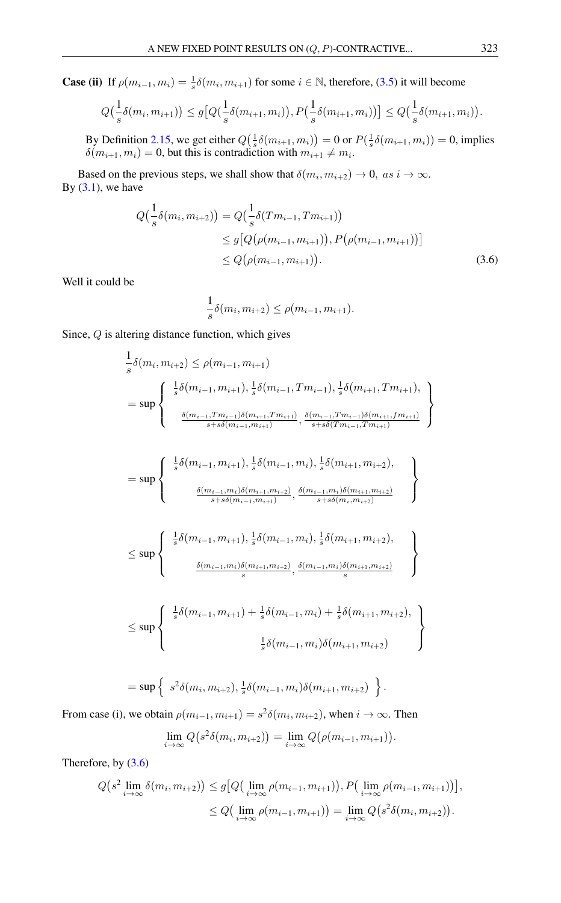**Case (ii)** If  $\rho(m_{i-1}, m_i) = \frac{1}{s} \delta(m_i, m_{i+1})$  for some  $i \in \mathbb{N}$ , therefore, [\(3.5\)](#page-4-0) it will become

$$
Q\left(\frac{1}{s}\delta(m_i, m_{i+1})\right) \le g\big[Q\left(\frac{1}{s}\delta(m_{i+1}, m_i)\right), P\left(\frac{1}{s}\delta(m_{i+1}, m_i)\right)\big] \le Q\left(\frac{1}{s}\delta(m_{i+1}, m_i)\right).
$$

By Definition [2.15,](#page-3-4) we get either  $Q(\frac{1}{s}\delta(m_{i+1}, m_i)) = 0$  or  $P(\frac{1}{s}\delta(m_{i+1}, m_i)) = 0$ , implies  $\delta(m_{i+1}, m_i) = 0$ , but this is contradiction with  $m_{i+1} \neq m_i$ .

Based on the previous steps, we shall show that  $\delta(m_i, m_{i+2}) \to 0$ , as  $i \to \infty$ . By  $(3.1)$ , we have

$$
Q\left(\frac{1}{s}\delta(m_i, m_{i+2})\right) = Q\left(\frac{1}{s}\delta(Tm_{i-1}, Tm_{i+1})\right)
$$
  
\n
$$
\leq g\left[Q\left(\rho(m_{i-1}, m_{i+1})\right), P\left(\rho(m_{i-1}, m_{i+1})\right)\right]
$$
  
\n
$$
\leq Q\left(\rho(m_{i-1}, m_{i+1})\right).
$$
\n(3.6)

Well it could be

<span id="page-5-0"></span>
$$
\frac{1}{s}\delta(m_i, m_{i+2}) \le \rho(m_{i-1}, m_{i+1}).
$$

Since,  $Q$  is altering distance function, which gives

$$
\frac{1}{s}\delta(m_{i},m_{i+2}) \leq \rho(m_{i-1},m_{i+1})
$$
\n
$$
= \sup \left\{\n\begin{array}{c}\n\frac{1}{s}\delta(m_{i-1},m_{i+1}),\frac{1}{s}\delta(m_{i-1},Tm_{i-1}),\frac{1}{s}\delta(m_{i+1},Tm_{i+1}), \\
\frac{\delta(m_{i-1},Tm_{i-1})\delta(m_{i+1},Tm_{i+1})}{s+s\delta(m_{i-1},m_{i+1})},\frac{\delta(m_{i-1},Tm_{i-1})\delta(m_{i+1},fm_{i+1})}{s+s\delta(Tm_{i-1},Tm_{i+1})}\n\end{array}\n\right\}
$$
\n
$$
= \sup \left\{\n\begin{array}{c}\n\frac{1}{s}\delta(m_{i-1},m_{i+1}),\frac{1}{s}\delta(m_{i-1},m_{i}),\frac{1}{s}\delta(m_{i+1},m_{i+2}), \\
\frac{\delta(m_{i-1},m_{i})\delta(m_{i+1},m_{i+2})}{s+s\delta(m_{i-1},m_{i+1})},\frac{\delta(m_{i-1},m_{i})\delta(m_{i+1},m_{i+2})}{s+s\delta(m_{i},m_{i+2})}\n\end{array}\n\right\}
$$
\n
$$
\leq \sup \left\{\n\begin{array}{c}\n\frac{1}{s}\delta(m_{i-1},m_{i+1}),\frac{1}{s}\delta(m_{i-1},m_{i}),\frac{1}{s}\delta(m_{i+1},m_{i+2}), \\
\frac{\delta(m_{i-1},m_{i})\delta(m_{i+1},m_{i+2})}{s},\frac{\delta(m_{i-1},m_{i})\delta(m_{i+1},m_{i+2})}{s}\n\end{array}\n\right\}
$$
\n
$$
\leq \sup \left\{\n\begin{array}{c}\n\frac{1}{s}\delta(m_{i-1},m_{i+1}) + \frac{1}{s}\delta(m_{i-1},m_{i}) + \frac{1}{s}\delta(m_{i+1},m_{i+2}), \\
\frac{1}{s}\delta(m_{i-1},m_{i})\delta(m_{i+1},m_{i+2}) \\
\frac{1}{s}\delta(m_{i-1},m_{i})\delta(m_{i+1},m_{i+2})\n\end{array}\n\right\}.
$$

From case (i), we obtain  $\rho(m_{i-1}, m_{i+1}) = s^2 \delta(m_i, m_{i+2})$ , when  $i \to \infty$ . Then  $\lim_{i \to \infty} Q(s^2 \delta(m_i, m_{i+2})) = \lim_{i \to \infty} Q(\rho(m_{i-1}, m_{i+1})).$ 

Therefore, by [\(3.6\)](#page-5-0)

$$
Q(s^2 \lim_{i \to \infty} \delta(m_i, m_{i+2})) \le g\big[Q\big(\lim_{i \to \infty} \rho(m_{i-1}, m_{i+1})\big), P\big(\lim_{i \to \infty} \rho(m_{i-1}, m_{i+1})\big)\big],
$$
  

$$
\le Q\big(\lim_{i \to \infty} \rho(m_{i-1}, m_{i+1})\big) = \lim_{i \to \infty} Q\big(s^2 \delta(m_i, m_{i+2})\big).
$$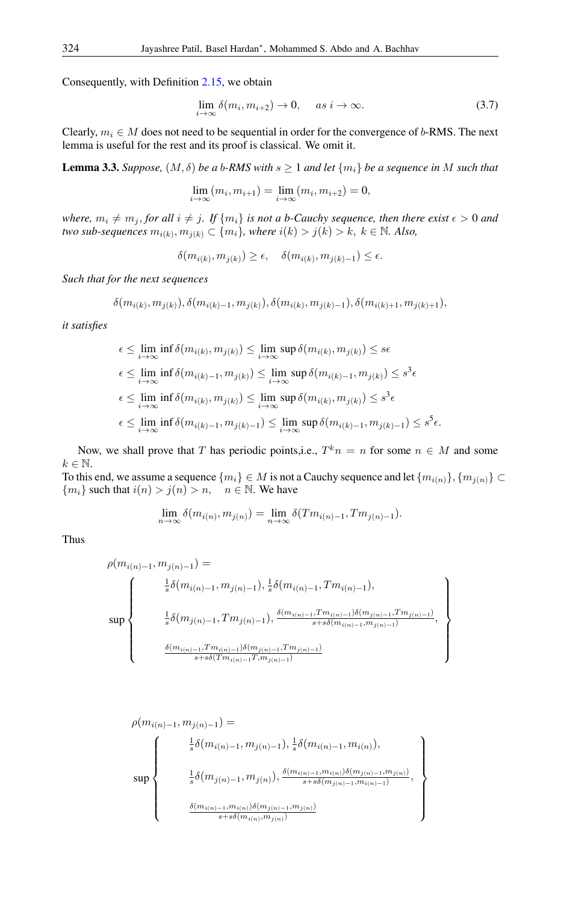Consequently, with Definition [2.15,](#page-3-4) we obtain

$$
\lim_{i \to \infty} \delta(m_i, m_{i+2}) \to 0, \quad \text{as } i \to \infty.
$$
 (3.7)

Clearly,  $m_i \in M$  does not need to be sequential in order for the convergence of b-RMS. The next lemma is useful for the rest and its proof is classical. We omit it.

<span id="page-6-0"></span>**Lemma 3.3.** *Suppose,*  $(M, \delta)$  *be a b-RMS with*  $s \geq 1$  *and let*  $\{m_i\}$  *be a sequence in* M *such that* 

$$
\lim_{i \to \infty} (m_i, m_{i+1}) = \lim_{i \to \infty} (m_i, m_{i+2}) = 0,
$$

*where,*  $m_i \neq m_j$ , *for all*  $i \neq j$ *. If*  $\{m_i\}$  *is not a b-Cauchy sequence, then there exist*  $\epsilon > 0$  *and*  $two\ sub-sequences\ m_{i(k)}, m_{j(k)} \subset \{m_i\}$ , where  $i(k) > j(k) > k, \ k \in \mathbb{N}$ . Also,

 $\delta(m_{i(k)}, m_{j(k)}) \ge \epsilon, \quad \delta(m_{i(k)}, m_{j(k)-1}) \le \epsilon.$ 

*Such that for the next sequences*

$$
\delta(m_{i(k)}, m_{j(k)}), \delta(m_{i(k)-1}, m_{j(k)}), \delta(m_{i(k)}, m_{j(k)-1}), \delta(m_{i(k)+1}, m_{j(k)+1}),
$$

*it satisfies*

$$
\epsilon \leq \lim_{i \to \infty} \inf \delta(m_{i(k)}, m_{j(k)}) \leq \lim_{i \to \infty} \sup \delta(m_{i(k)}, m_{j(k)}) \leq s\epsilon
$$
  

$$
\epsilon \leq \lim_{i \to \infty} \inf \delta(m_{i(k)-1}, m_{j(k)}) \leq \lim_{i \to \infty} \sup \delta(m_{i(k)-1}, m_{j(k)}) \leq s^3\epsilon
$$
  

$$
\epsilon \leq \lim_{i \to \infty} \inf \delta(m_{i(k)}, m_{j(k)}) \leq \lim_{i \to \infty} \sup \delta(m_{i(k)}, m_{j(k)}) \leq s^3\epsilon
$$
  

$$
\epsilon \leq \lim_{i \to \infty} \inf \delta(m_{i(k)-1}, m_{j(k)-1}) \leq \lim_{i \to \infty} \sup \delta(m_{i(k)-1}, m_{j(k)-1}) \leq s^5\epsilon.
$$

Now, we shall prove that T has periodic points, i.e.,  $T^k n = n$  for some  $n \in M$  and some  $k \in \mathbb{N}$ .

To this end, we assume a sequence  ${m_i} \in M$  is not a Cauchy sequence and let  ${m_{i(n)}}$ ,  ${m_{i(n)}} \subset$  ${m_i}$  such that  $i(n) > j(n) > n$ ,  $n \in \mathbb{N}$ . We have

$$
\lim_{n \to \infty} \delta(m_{i(n)}, m_{j(n)}) = \lim_{n \to \infty} \delta(Tm_{i(n)-1}, Tm_{j(n)-1}).
$$

Thus

$$
\sup \left\{\begin{array}{c} \displaystyle\sum_{j}^{n}(m_{i(n)-1},m_{j(n)-1})=\vspace{2mm}\\ \displaystyle\sum_{j}^{n}\delta\big(m_{i(n)-1},m_{j(n)-1}\big),\frac{1}{s}\delta\big(m_{i(n)-1},T m_{i(n)-1}\big),\\[2mm] \displaystyle\sum_{j}^{n}\delta\big(m_{j(n)-1},T m_{j(n)-1}\big),\frac{\delta\big(m_{i(n)-1},T m_{i(n)-1}\big)\delta\big(m_{j(n)-1},T m_{j(n)-1}\big)}{s+s\delta\big(m_{i(n)-1},m_{j(n)-1}\big)},\\[2mm] \displaystyle\sum_{j}^{n}\delta\big(m_{i(n)-1},T m_{j(n)-1}\big)\delta\big(m_{j(n)-1},T m_{j(n)-1}\big)\\[2mm] \displaystyle\sum_{j}^{n}\delta\big(T m_{i(n)-1},T m_{j(n)-1}\big)\delta\big(m_{j(n)-1},T m_{j(n)-1}\big)\\[2mm] \end{array}\right\}
$$

$$
\rho(m_{i(n)-1}, m_{j(n)-1}) = \sum_{s} \rho(m_{i(n)-1}, m_{j(n)-1}), \frac{1}{s} \delta(m_{i(n)-1}, m_{i(n)}),
$$
  
\n
$$
\sup \left\{\n\begin{array}{c}\n\frac{1}{s} \delta(m_{i(n)-1}, m_{j(n)-1}), \frac{\delta(m_{i(n)-1}, m_{i(n)}) \delta(m_{j(n)-1}, m_{j(n)})}{s + s \delta(m_{j(n)-1}, m_{i(n)-1})}, \\
\frac{\delta(m_{i(n)-1}, m_{i(n)}) \delta(m_{j(n)-1}, m_{j(n)})}{s + s \delta(m_{i(n)}, m_{j(n)})}\n\end{array}\n\right\}
$$

 $\lambda$  $\left\lfloor$ 

 $\int$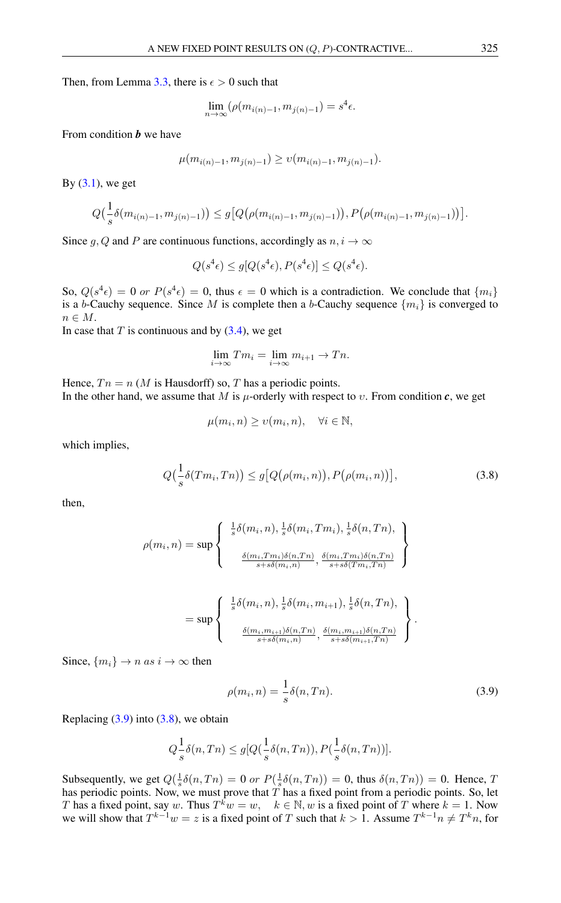Then, from Lemma [3.3,](#page-6-0) there is  $\epsilon > 0$  such that

$$
\lim_{n \to \infty} (\rho(m_{i(n)-1}, m_{j(n)-1}) = s^4 \epsilon.
$$

From condition *b* we have

$$
\mu(m_{i(n)-1}, m_{j(n)-1}) \ge \nu(m_{i(n)-1}, m_{j(n)-1}).
$$

By  $(3.1)$ , we get

$$
Q\left(\frac{1}{s}\delta(m_{i(n)-1}, m_{j(n)-1})\right) \le g\big[Q\big(\rho(m_{i(n)-1}, m_{j(n)-1})\big), P\big(\rho(m_{i(n)-1}, m_{j(n)-1})\big)\big].
$$

Since g, Q and P are continuous functions, accordingly as  $n, i \rightarrow \infty$ 

$$
Q(s^4\epsilon) \le g[Q(s^4\epsilon), P(s^4\epsilon)] \le Q(s^4\epsilon).
$$

So,  $Q(s^4\epsilon) = 0$  or  $P(s^4\epsilon) = 0$ , thus  $\epsilon = 0$  which is a contradiction. We conclude that  $\{m_i\}$ is a b-Cauchy sequence. Since M is complete then a b-Cauchy sequence  $\{m_i\}$  is converged to  $n \in M$ .

In case that  $T$  is continuous and by  $(3.4)$ , we get

$$
\lim_{i \to \infty} T m_i = \lim_{i \to \infty} m_{i+1} \to T n.
$$

Hence,  $T n = n$  (*M* is Hausdorff) so, *T* has a periodic points. In the other hand, we assume that M is  $\mu$ -orderly with respect to v. From condition c, we get

<span id="page-7-1"></span>
$$
\mu(m_i, n) \ge \upsilon(m_i, n), \quad \forall i \in \mathbb{N},
$$

which implies,

$$
Q\left(\frac{1}{s}\delta(Tm_i, Tn)\right) \le g\big[Q\big(\rho(m_i, n)\big), P\big(\rho(m_i, n)\big)\big],\tag{3.8}
$$

then,

$$
\rho(m_i, n) = \sup \left\{ \begin{array}{c} \frac{1}{s} \delta(m_i, n), \frac{1}{s} \delta(m_i, Tm_i), \frac{1}{s} \delta(n, Tn), \\ \frac{\delta(m_i, Tm_i) \delta(n, Tn)}{s + s \delta(m_i, n)}, \frac{\delta(m_i, Tm_i) \delta(n, Tn)}{s + s \delta(Tm_i, Tn)} \end{array} \right\}
$$

$$
= \sup \left\{ \begin{array}{c} \frac{1}{s} \delta(m_i, n), \frac{1}{s} \delta(m_i, m_{i+1}), \frac{1}{s} \delta(n, Tn), \\ \frac{\delta(m_i, m_{i+1}) \delta(n, Tn)}{s + s \delta(m_i, n)}, \frac{\delta(m_i, m_{i+1}) \delta(n, Tn)}{s + s \delta(m_{i+1}, Tn)} \end{array} \right\}.
$$

Since,  $\{m_i\} \rightarrow n \text{ as } i \rightarrow \infty$  then

<span id="page-7-0"></span>
$$
\rho(m_i, n) = \frac{1}{s}\delta(n, T_n). \tag{3.9}
$$

Replacing  $(3.9)$  into  $(3.8)$ , we obtain

$$
Q_s^{\mathbf{1}} \delta(n, Tn) \le g[Q(\frac{1}{s}\delta(n, Tn)), P(\frac{1}{s}\delta(n, Tn))].
$$

Subsequently, we get  $Q(\frac{1}{s}\delta(n,Tn) = 0$  or  $P(\frac{1}{s}\delta(n,Tn)) = 0$ , thus  $\delta(n,Tn) = 0$ . Hence, T has periodic points. Now, we must prove that  $\overline{T}$  has a fixed point from a periodic points. So, let T has a fixed point, say w. Thus  $T^k w = w$ ,  $k \in \mathbb{N}$ , w is a fixed point of T where  $k = 1$ . Now we will show that  $T^{k-1}w = z$  is a fixed point of T such that  $k > 1$ . Assume  $T^{k-1}n \neq T^k n$ , for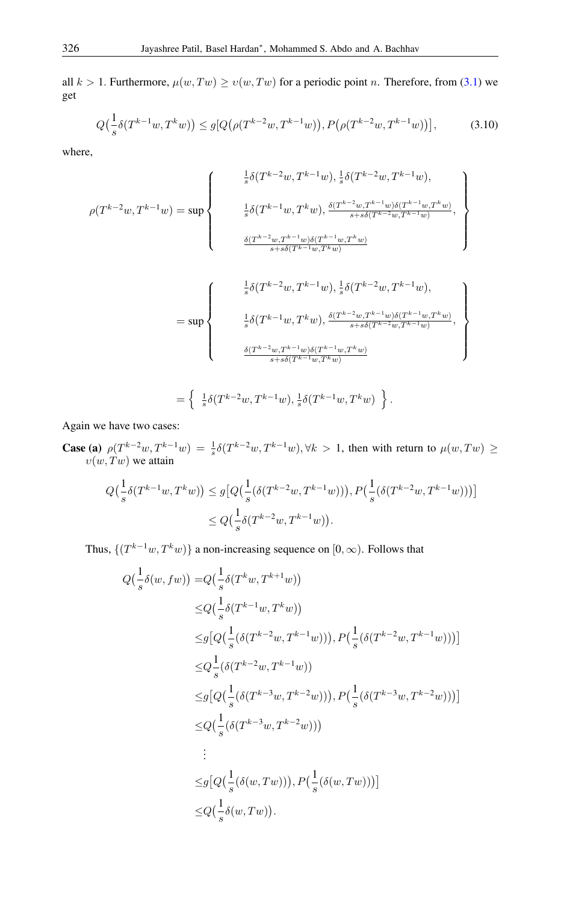all  $k > 1$ . Furthermore,  $\mu(w, Tw) \ge v(w, Tw)$  for a periodic point n. Therefore, from [\(3.1\)](#page-3-3) we get

<span id="page-8-0"></span>
$$
Q\left(\frac{1}{s}\delta(T^{k-1}w, T^k w)\right) \le g\left[Q\left(\rho(T^{k-2}w, T^{k-1}w)\right), P\left(\rho(T^{k-2}w, T^{k-1}w)\right)\right],\tag{3.10}
$$

where,

$$
\rho(T^{k-2}w, T^{k-1}w) = \sup \left\{\begin{array}{c} \frac{1}{s} \delta(T^{k-2}w, T^{k-1}w), \frac{1}{s} \delta(T^{k-2}w, T^{k-1}w), \\ \frac{1}{s} \delta(T^{k-1}w, T^kw), \frac{\delta(T^{k-2}w, T^{k-1}w) \delta(T^{k-1}w, T^kw)}{s+s\delta(T^{k-2}w, T^{k-1}w)}, \\ \\ \frac{\delta(T^{k-2}w, T^{k-1}w) \delta(T^{k-1}w, T^kw)}{s+s\delta(T^{k-1}w, T^kw)} \end{array}\right\}
$$
\n
$$
= \sup \left\{\begin{array}{c} \frac{1}{s} \delta(T^{k-2}w, T^{k-1}w), \frac{1}{s} \delta(T^{k-2}w, T^{k-1}w), \\ \\ \frac{1}{s} \delta(T^{k-2}w, T^{k-1}w), \frac{1}{s} \delta(T^{k-2}w, T^{k-1}w) \delta(T^{k-1}w, T^kw)}{s+s\delta(T^{k-2}w, T^{k-1}w)} \end{array}\right\}
$$
\n
$$
\frac{\delta(T^{k-2}w, T^{k-1}w) \delta(T^{k-1}w, T^kw)}{s+s\delta(T^{k-1}w, T^kw)}
$$

$$
= \left\{ \begin{array}{c} \frac{1}{s} \delta(T^{k-2}w, T^{k-1}w), \frac{1}{s} \delta(T^{k-1}w, T^k w) \end{array} \right\}.
$$

Again we have two cases:

**Case (a)**  $\rho(T^{k-2}w, T^{k-1}w) = \frac{1}{s}\delta(T^{k-2}w, T^{k-1}w), \forall k > 1$ , then with return to  $\mu(w, Tw) \ge$  $v(w, Tw)$  we attain

$$
Q\left(\frac{1}{s}\delta(T^{k-1}w, T^k w)\right) \le g\left[Q\left(\frac{1}{s}(\delta(T^{k-2}w, T^{k-1}w))\right), P\left(\frac{1}{s}(\delta(T^{k-2}w, T^{k-1}w))\right)\right] \le Q\left(\frac{1}{s}\delta(T^{k-2}w, T^{k-1}w)\right).
$$

Thus,  $\{(T^{k-1}w, T^kw)\}\$  a non-increasing sequence on  $[0, \infty)$ . Follows that

$$
Q\left(\frac{1}{s}\delta(w, fw)\right) = Q\left(\frac{1}{s}\delta(T^{k} w, T^{k+1} w)\right)
$$
  
\n
$$
\leq Q\left(\frac{1}{s}\delta(T^{k-1} w, T^{k} w)\right)
$$
  
\n
$$
\leq g\left[Q\left(\frac{1}{s}\left(\delta(T^{k-2} w, T^{k-1} w)\right)\right), P\left(\frac{1}{s}\left(\delta(T^{k-2} w, T^{k-1} w)\right)\right)\right]
$$
  
\n
$$
\leq Q\frac{1}{s}\left(\delta(T^{k-2} w, T^{k-1} w)\right)
$$
  
\n
$$
\leq g\left[Q\left(\frac{1}{s}\left(\delta(T^{k-3} w, T^{k-2} w)\right)\right), P\left(\frac{1}{s}\left(\delta(T^{k-3} w, T^{k-2} w)\right)\right)\right]
$$
  
\n
$$
\leq Q\left(\frac{1}{s}\left(\delta(T^{k-3} w, T^{k-2} w)\right)\right)
$$
  
\n
$$
\vdots
$$
  
\n
$$
\leq g\left[Q\left(\frac{1}{s}\left(\delta(w, Tw)\right)\right), P\left(\frac{1}{s}\left(\delta(w, Tw)\right)\right)\right]
$$
  
\n
$$
\leq Q\left(\frac{1}{s}\delta(w, Tw)\right).
$$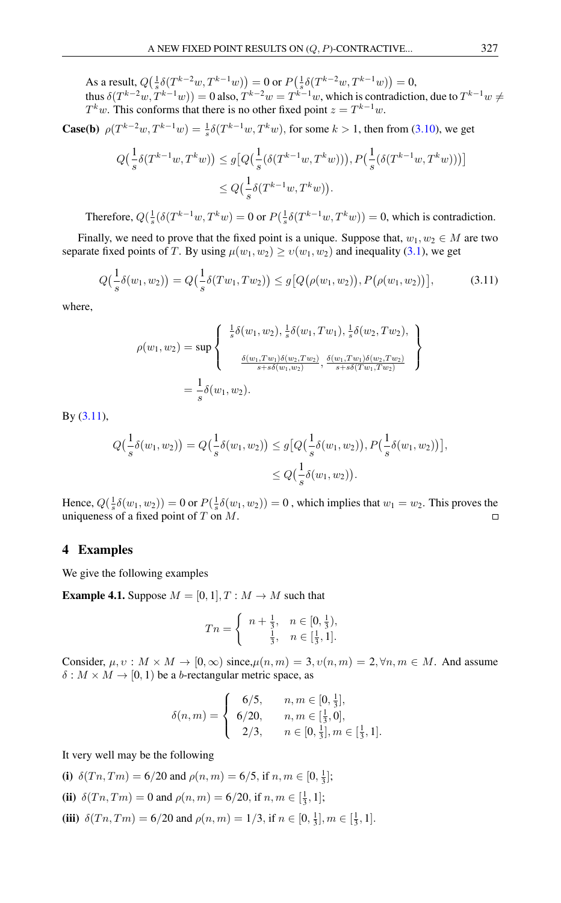As a result,  $Q(\frac{1}{s}\delta(T^{k-2}w, T^{k-1}w)) = 0$  or  $P(\frac{1}{s}\delta(T^{k-2}w, T^{k-1}w)) = 0$ ,

thus  $\delta(T^{k-2}w, T^{k-1}w) = 0$  also,  $T^{k-2}w = T^{k-1}w$ , which is contradiction, due to  $T^{k-1}w \neq$  $T^k w$ . This conforms that there is no other fixed point  $z = T^{k-1}w$ .

**Case(b)**  $\rho(T^{k-2}w, T^{k-1}w) = \frac{1}{s}\delta(T^{k-1}w, T^kw)$ , for some  $k > 1$ , then from [\(3.10\)](#page-8-0), we get

$$
Q\left(\frac{1}{s}\delta(T^{k-1}w, T^k w)\right) \le g\left[Q\left(\frac{1}{s}(\delta(T^{k-1}w, T^k w))\right), P\left(\frac{1}{s}(\delta(T^{k-1}w, T^k w))\right)\right]
$$
  

$$
\le Q\left(\frac{1}{s}\delta(T^{k-1}w, T^k w)\right).
$$

Therefore,  $Q(\frac{1}{s}(\delta(T^{k-1}w, T^kw)) = 0$  or  $P(\frac{1}{s}\delta(T^{k-1}w, T^kw)) = 0$ , which is contradiction.

Finally, we need to prove that the fixed point is a unique. Suppose that,  $w_1, w_2 \in M$  are two separate fixed points of T. By using  $\mu(w_1, w_2) \ge v(w_1, w_2)$  and inequality [\(3.1\)](#page-3-3), we get

$$
Q\left(\frac{1}{s}\delta(w_1, w_2)\right) = Q\left(\frac{1}{s}\delta(Tw_1, Tw_2)\right) \le g\big[Q\big(\rho(w_1, w_2)\big), P\big(\rho(w_1, w_2)\big)\big],\tag{3.11}
$$

where,

<span id="page-9-0"></span>
$$
\rho(w_1, w_2) = \sup \left\{ \begin{array}{c} \frac{1}{s} \delta(w_1, w_2), \frac{1}{s} \delta(w_1, Tw_1), \frac{1}{s} \delta(w_2, Tw_2), \\ \frac{\delta(w_1, Tw_1) \delta(w_2, Tw_2)}{s + s \delta(w_1, w_2)}, \frac{\delta(w_1, Tw_1) \delta(w_2, Tw_2)}{s + s \delta(Tw_1, Tw_2)} \end{array} \right\}
$$
  
=  $\frac{1}{s} \delta(w_1, w_2).$ 

By [\(3.11\)](#page-9-0),

$$
Q(\frac{1}{s}\delta(w_1, w_2)) = Q(\frac{1}{s}\delta(w_1, w_2)) \le g\big[Q(\frac{1}{s}\delta(w_1, w_2)), P(\frac{1}{s}\delta(w_1, w_2))\big],
$$
  

$$
\le Q(\frac{1}{s}\delta(w_1, w_2)).
$$

Hence,  $Q(\frac{1}{s}\delta(w_1, w_2)) = 0$  or  $P(\frac{1}{s}\delta(w_1, w_2)) = 0$ , which implies that  $w_1 = w_2$ . This proves the uniqueness of a fixed point of  $T$  on  $M$ .  $\Box$ 

#### 4 Examples

We give the following examples

**Example 4.1.** Suppose  $M = [0, 1], T : M \rightarrow M$  such that

$$
Tn = \begin{cases} n + \frac{1}{3}, & n \in [0, \frac{1}{3}), \\ \frac{1}{3}, & n \in [\frac{1}{3}, 1]. \end{cases}
$$

Consider,  $\mu, \nu : M \times M \to [0, \infty)$  since,  $\mu(n, m) = 3, \nu(n, m) = 2, \forall n, m \in M$ . And assume  $\delta$  :  $M \times M \rightarrow [0, 1)$  be a *b*-rectangular metric space, as

$$
\delta(n,m) = \begin{cases}\n6/5, & n,m \in [0, \frac{1}{3}], \\
6/20, & n,m \in [\frac{1}{3}, 0], \\
2/3, & n \in [0, \frac{1}{3}], m \in [\frac{1}{3}, 1].\n\end{cases}
$$

It very well may be the following

(i)  $\delta(Tn, Tm) = 6/20$  and  $\rho(n, m) = 6/5$ , if  $n, m \in [0, \frac{1}{3}]$ ;

(ii) 
$$
\delta(Tn, Tm) = 0
$$
 and  $\rho(n, m) = 6/20$ , if  $n, m \in [\frac{1}{3}, 1]$ ;

(iii)  $\delta(Tn, Tm) = 6/20$  and  $\rho(n, m) = 1/3$ , if  $n \in [0, \frac{1}{3}], m \in [\frac{1}{3}, 1]$ .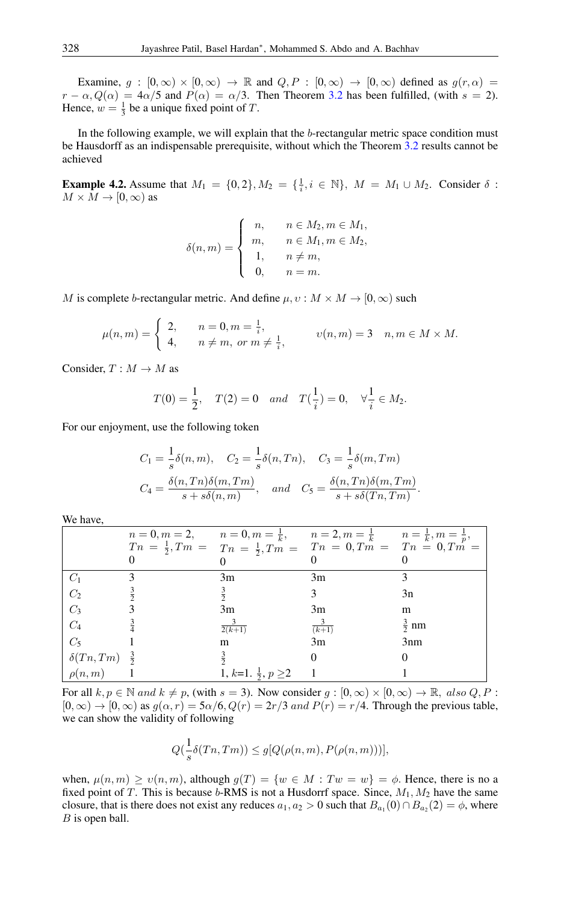Examine,  $g : [0, \infty) \times [0, \infty) \to \mathbb{R}$  and  $Q, P : [0, \infty) \to [0, \infty)$  defined as  $g(r, \alpha) =$  $r - \alpha$ ,  $Q(\alpha) = 4\alpha/5$  and  $P(\alpha) = \alpha/3$ . Then Theorem [3.2](#page-3-0) has been fulfilled, (with  $s = 2$ ). Hence,  $w = \frac{1}{3}$  be a unique fixed point of T.

In the following example, we will explain that the b-rectangular metric space condition must be Hausdorff as an indispensable prerequisite, without which the Theorem [3.2](#page-3-0) results cannot be achieved

**Example 4.2.** Assume that  $M_1 = \{0, 2\}, M_2 = \{\frac{1}{i}, i \in \mathbb{N}\}, M = M_1 \cup M_2$ . Consider  $\delta$ :  $M \times M \rightarrow [0, \infty)$  as

$$
\delta(n,m) = \begin{cases}\n n, & n \in M_2, m \in M_1, \\
 m, & n \in M_1, m \in M_2, \\
 1, & n \neq m, \\
 0, & n = m.\n\end{cases}
$$

M is complete b-rectangular metric. And define  $\mu, v : M \times M \rightarrow [0, \infty)$  such

$$
\mu(n,m) = \begin{cases} 2, & n = 0, m = \frac{1}{i}, \\ 4, & n \neq m, \text{ or } m \neq \frac{1}{i}, \end{cases} \quad v(n,m) = 3 \quad n, m \in M \times M.
$$

Consider,  $T : M \to M$  as

$$
T(0) = \frac{1}{2}
$$
,  $T(2) = 0$  and  $T(\frac{1}{i}) = 0$ ,  $\forall \frac{1}{i} \in M_2$ .

For our enjoyment, use the following token

$$
C_1 = \frac{1}{s}\delta(n, m), \quad C_2 = \frac{1}{s}\delta(n, Tn), \quad C_3 = \frac{1}{s}\delta(m, Tm)
$$
  

$$
C_4 = \frac{\delta(n, Tn)\delta(m, Tm)}{s + s\delta(n, m)}, \quad and \quad C_5 = \frac{\delta(n, Tn)\delta(m, Tm)}{s + s\delta(Tn, Tm)}
$$

.

We have,

| ,, , , , , , , , ,             |                                                                                                                                                                                               |                   |                 |
|--------------------------------|-----------------------------------------------------------------------------------------------------------------------------------------------------------------------------------------------|-------------------|-----------------|
|                                | $n = 0, m = 2,$ $n = 0, m = \frac{1}{k},$ $n = 2, m = \frac{1}{k}$ $n = \frac{1}{k}, m = \frac{1}{p},$<br>$T_n = \frac{1}{2}, T_m = T_n = \frac{1}{2}, T_m = T_n = 0, T_m = T_n = 0, T_m = 0$ |                   |                 |
| $C_1$                          | 3m                                                                                                                                                                                            | 3m                |                 |
| $\frac{C_2}{C_3}$              |                                                                                                                                                                                               |                   | 3n              |
|                                | 3m                                                                                                                                                                                            | 3m                | m               |
| $\mathcal{C}_4$                | $\frac{6}{2(k+1)}$                                                                                                                                                                            | $\frac{3}{(k+1)}$ | $rac{3}{2}$ nm  |
| $C_5$                          | m                                                                                                                                                                                             | 3m                | 3 <sub>nm</sub> |
| $\delta(Tn, Tm)$ $\frac{3}{2}$ |                                                                                                                                                                                               |                   |                 |
| $\sim \rho(n,m)$               | 1, k=1. $\frac{1}{2}$ , $p \ge 2$                                                                                                                                                             |                   |                 |

For all  $k, p \in \mathbb{N}$  and  $k \neq p$ , (with  $s = 3$ ). Now consider  $g : [0, \infty) \times [0, \infty) \to \mathbb{R}$ , also  $Q, P$ :  $[0, \infty) \rightarrow [0, \infty)$  as  $g(\alpha, r) = 5\alpha/6$ ,  $Q(r) = 2r/3$  and  $P(r) = r/4$ . Through the previous table, we can show the validity of following

$$
Q(\frac{1}{s}\delta(Tn, Tm)) \le g[Q(\rho(n,m), P(\rho(n,m)))],
$$

when,  $\mu(n, m) \ge v(n, m)$ , although  $g(T) = \{w \in M : Tw = w\} = \phi$ . Hence, there is no a fixed point of T. This is because  $b$ -RMS is not a Husdorrf space. Since,  $M_1, M_2$  have the same closure, that is there does not exist any reduces  $a_1, a_2 > 0$  such that  $B_{a_1}(0) \cap B_{a_2}(2) = \phi$ , where B is open ball.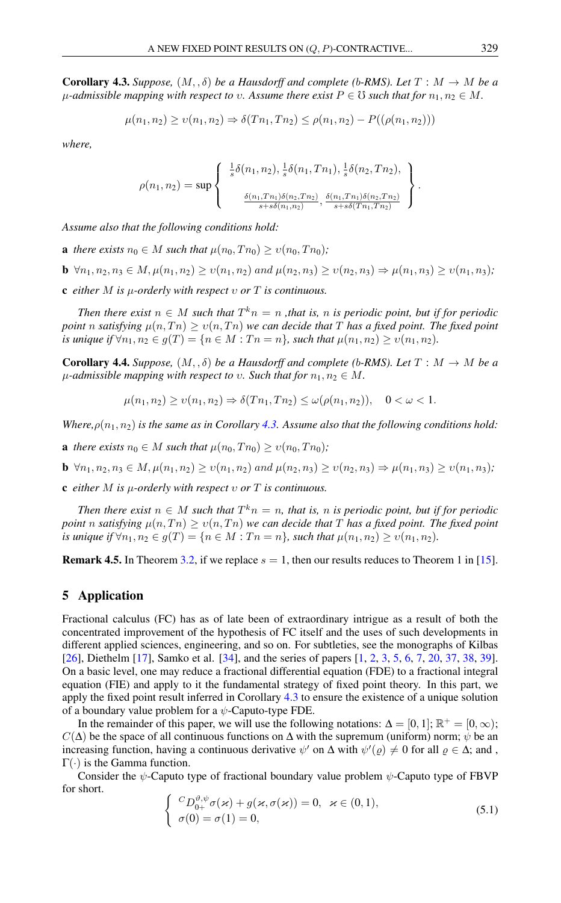<span id="page-11-0"></span>**Corollary 4.3.** *Suppose,*  $(M, \delta)$  *be a Hausdorff and complete (b-RMS). Let*  $T : M \to M$  *be a*  $\mu$ -admissible mapping with respect to v. Assume there exist  $P \in \mathcal{O}$  such that for  $n_1, n_2 \in M$ .

$$
\mu(n_1, n_2) \ge \nu(n_1, n_2) \Rightarrow \delta(Tn_1, Tn_2) \le \rho(n_1, n_2) - P((\rho(n_1, n_2)))
$$

*where,*

$$
\rho(n_1, n_2) = \sup \left\{ \begin{array}{c} \frac{1}{s} \delta(n_1, n_2), \frac{1}{s} \delta(n_1, T n_1), \frac{1}{s} \delta(n_2, T n_2), \\ \frac{\delta(n_1, T n_1) \delta(n_2, T n_2)}{s + s \delta(n_1, n_2)}, \frac{\delta(n_1, T n_1) \delta(n_2, T n_2)}{s + s \delta(T n_1, T n_2)} \end{array} \right\}
$$

*Assume also that the following conditions hold:*

- **a** *there exists*  $n_0 \in M$  *such that*  $\mu(n_0, T n_0) > \nu(n_0, T n_0)$ ;
- **b**  $\forall n_1, n_2, n_3 \in M, \mu(n_1, n_2) \ge v(n_1, n_2)$  and  $\mu(n_2, n_3) \ge v(n_2, n_3) \Rightarrow \mu(n_1, n_3) \ge v(n_1, n_3)$ ;
- c *either* M *is* µ*-orderly with respect* υ *or* T *is continuous.*

*Then there exist*  $n \in M$  *such that*  $T^k n = n$  *, that is,* n *is periodic point, but if for periodic point* n *satisfying*  $\mu(n, T_n) \ge v(n, T_n)$  *we can decide that* T *has a fixed point. The fixed point is unique if*  $\forall n_1, n_2 \in g(T) = \{n \in M : T n = n\}$ *, such that*  $\mu(n_1, n_2) \geq v(n_1, n_2)$ *.* 

**Corollary 4.4.** *Suppose,*  $(M, \delta)$  *be a Hausdorff and complete (b-RMS). Let*  $T : M \to M$  *be a*  $\mu$ -admissible mapping with respect to v. Such that for  $n_1, n_2 \in M$ .

$$
\mu(n_1, n_2) \ge \nu(n_1, n_2) \Rightarrow \delta(Tn_1, Tn_2) \le \omega(\rho(n_1, n_2)), \quad 0 < \omega < 1.
$$

*Where,* $\rho(n_1, n_2)$  *is the same as in Corollary* [4.3.](#page-11-0) Assume also that the following conditions hold:

**a** *there exists*  $n_0 \in M$  *such that*  $\mu(n_0, Tn_0) \ge v(n_0, Tn_0)$ *;* 

**b**  $\forall n_1, n_2, n_3 \in M, \mu(n_1, n_2) \ge v(n_1, n_2)$  and  $\mu(n_2, n_3) \ge v(n_2, n_3) \Rightarrow \mu(n_1, n_3) \ge v(n_1, n_3)$ ;

c *either* M *is* µ*-orderly with respect* υ *or* T *is continuous.*

*Then there exist*  $n \in M$  *such that*  $T^k n = n$ *, that is, n is periodic point, but if for periodic point* n *satisfying*  $\mu(n, T_n) \ge v(n, T_n)$  *we can decide that* T *has a fixed point. The fixed point is unique if*  $\forall n_1, n_2 \in g(T) = \{n \in M : T n = n\}$ *, such that*  $\mu(n_1, n_2) \ge \nu(n_1, n_2)$ *.* 

**Remark 4.5.** In Theorem [3.2,](#page-3-0) if we replace  $s = 1$ , then our results reduces to Theorem 1 in [\[15\]](#page-14-10).

# 5 Application

Fractional calculus (FC) has as of late been of extraordinary intrigue as a result of both the concentrated improvement of the hypothesis of FC itself and the uses of such developments in different applied sciences, engineering, and so on. For subtleties, see the monographs of Kilbas [\[26\]](#page-15-14), Diethelm [\[17\]](#page-14-13), Samko et al. [\[34\]](#page-15-15), and the series of papers [\[1,](#page-14-14) [2,](#page-14-15) [3,](#page-14-16) [5,](#page-14-17) [6,](#page-14-18) [7,](#page-14-19) [20,](#page-15-16) [37,](#page-15-17) [38,](#page-15-18) [39\]](#page-15-19). On a basic level, one may reduce a fractional differential equation (FDE) to a fractional integral equation (FIE) and apply to it the fundamental strategy of fixed point theory. In this part, we apply the fixed point result inferred in Corollary [4.3](#page-11-0) to ensure the existence of a unique solution of a boundary value problem for a  $\psi$ -Caputo-type FDE.

In the remainder of this paper, we will use the following notations:  $\Delta = [0, 1]$ ;  $\mathbb{R}^+ = [0, \infty)$ ;  $C(\Delta)$  be the space of all continuous functions on  $\Delta$  with the supremum (uniform) norm;  $\psi$  be an increasing function, having a continuous derivative  $\psi'$  on  $\Delta$  with  $\psi'(\varrho) \neq 0$  for all  $\varrho \in \Delta$ ; and,  $\Gamma(\cdot)$  is the Gamma function.

<span id="page-11-1"></span>Consider the  $\psi$ -Caputo type of fractional boundary value problem  $\psi$ -Caputo type of FBVP for short.

$$
\begin{cases}\n C_D^{\vartheta,\psi} \sigma(\varkappa) + g(\varkappa, \sigma(\varkappa)) = 0, & \varkappa \in (0,1), \\
 \sigma(0) = \sigma(1) = 0,\n\end{cases}
$$
\n(5.1)

.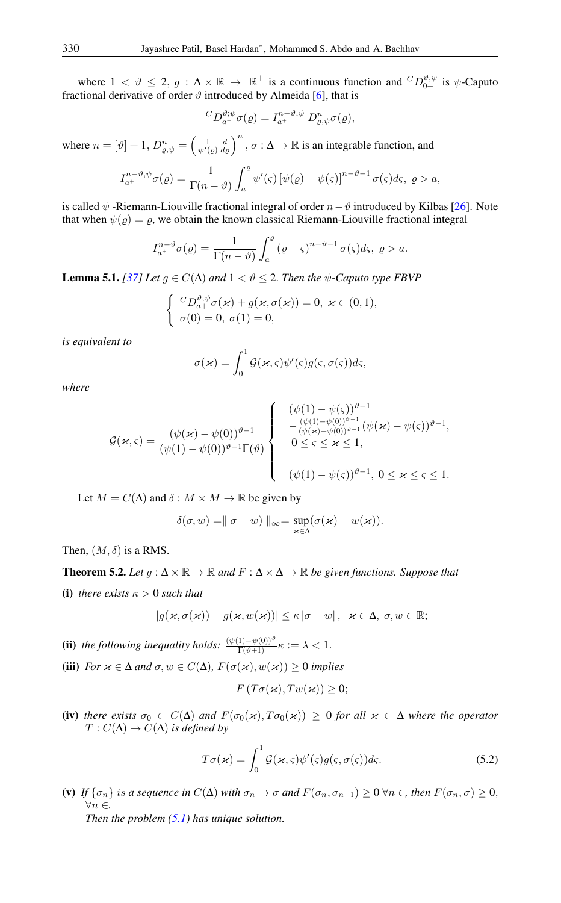where  $1 < \theta \leq 2$ ,  $g : \Delta \times \mathbb{R} \to \mathbb{R}^+$  is a continuous function and  ${}^C D_{0+}^{\theta,\psi}$  is  $\psi$ -Caputo fractional derivative of order  $\vartheta$  introduced by Almeida [\[6\]](#page-14-18), that is

$$
{}^{C}D_{a^{+}}^{\vartheta;\psi}\sigma(\varrho) = I_{a^{+}}^{n-\vartheta,\psi} D_{\varrho,\psi}^{n}\sigma(\varrho),
$$

where  $n = [\vartheta] + 1$ ,  $D_{\varrho,\psi}^n = \left(\frac{1}{\psi'(\varrho)} \frac{d}{d\varrho}\right)^n$ ,  $\sigma : \Delta \to \mathbb{R}$  is an integrable function, and

$$
I_{a^{+}}^{n-\vartheta,\psi}\sigma(\varrho)=\frac{1}{\Gamma(n-\vartheta)}\int_{a}^{\varrho}\psi'(\varsigma)\left[\psi(\varrho)-\psi(\varsigma)\right]^{n-\vartheta-1}\sigma(\varsigma)d\varsigma,\ \varrho>a,
$$

is called  $\psi$  -Riemann-Liouville fractional integral of order  $n-\vartheta$  introduced by Kilbas [\[26\]](#page-15-14). Note that when  $\psi(\varrho) = \varrho$ , we obtain the known classical Riemann-Liouville fractional integral

$$
I_{a^{+}}^{n-\vartheta}\sigma(\varrho)=\frac{1}{\Gamma(n-\vartheta)}\int_{a}^{\varrho}(\varrho-\varsigma)^{n-\vartheta-1}\,\sigma(\varsigma)d\varsigma,\,\varrho>a.
$$

<span id="page-12-0"></span>**Lemma 5.1.** *[\[37\]](#page-15-17) Let*  $g \in C(\Delta)$  *and*  $1 < \vartheta \le 2$ *. Then the*  $\psi$ *-Caputo type FBVP* 

$$
\begin{cases} C D_{a+}^{\vartheta,\psi} \sigma(\varkappa) + g(\varkappa, \sigma(\varkappa)) = 0, \ \varkappa \in (0,1), \\ \sigma(0) = 0, \ \sigma(1) = 0, \end{cases}
$$

*is equivalent to*

$$
\sigma(\varkappa)=\int_0^1\mathcal{G}(\varkappa,\varsigma)\psi'(\varsigma)g(\varsigma,\sigma(\varsigma))d\varsigma,
$$

*where*

$$
\mathcal{G}(\varkappa,\varsigma)=\frac{(\psi(\varkappa)-\psi(0))^{\vartheta-1}}{(\psi(1)-\psi(0))^{\vartheta-1}\Gamma(\vartheta)}\left\{\begin{array}{l}\left(\psi(1)-\psi(\varsigma)\right)^{\vartheta-1}\\\frac{(\psi(1)-\psi(0))^{\vartheta-1}}{(\psi(\varkappa)-\psi(0))^{\vartheta-1}}(\psi(\varkappa)-\psi(\varsigma))^{\vartheta-1},\\0\leq\varsigma\leq\varkappa\leq1,\\\left(\psi(1)-\psi(\varsigma)\right)^{\vartheta-1},\;0\leq\varkappa\leq\varsigma\leq1.\end{array}\right.
$$

Let  $M = C(\Delta)$  and  $\delta : M \times M \to \mathbb{R}$  be given by

$$
\delta(\sigma, w) = || \sigma - w ||_{\infty} = \sup_{\varkappa \in \Delta} (\sigma(\varkappa) - w(\varkappa)).
$$

Then,  $(M, \delta)$  is a RMS.

**Theorem 5.2.** Let  $q : \Delta \times \mathbb{R} \to \mathbb{R}$  and  $F : \Delta \times \Delta \to \mathbb{R}$  be given functions. Suppose that

(i) *there exists*  $\kappa > 0$  *such that* 

$$
|g(\varkappa,\sigma(\varkappa))-g(\varkappa,w(\varkappa))|\leq\kappa\,|\sigma-w| \,,\ \ \varkappa\in\Delta,\ \sigma,w\in\mathbb{R};
$$

(ii) *the following inequality holds:*  $\frac{(\psi(1)-\psi(0))^{\vartheta}}{\Gamma(\vartheta+1)}\kappa := \lambda < 1$ .

(iii) *For*  $x \in \Delta$  *and*  $\sigma, w \in C(\Delta)$ *,*  $F(\sigma(x), w(x)) \ge 0$  *implies* 

<span id="page-12-1"></span>
$$
F(T\sigma(\varkappa), Tw(\varkappa))\geq 0;
$$

(iv) *there exists*  $\sigma_0 \in C(\Delta)$  *and*  $F(\sigma_0(\kappa), T\sigma_0(\kappa)) \geq 0$  *for all*  $\kappa \in \Delta$  *where the operator*  $T: C(\Delta) \to C(\Delta)$  *is defined by* 

$$
T\sigma(\varkappa) = \int_0^1 \mathcal{G}(\varkappa, \varsigma) \psi'(\varsigma) g(\varsigma, \sigma(\varsigma)) d\varsigma.
$$
 (5.2)

(v) If  $\{\sigma_n\}$  is a sequence in  $C(\Delta)$  with  $\sigma_n \to \sigma$  and  $F(\sigma_n, \sigma_{n+1}) \geq 0$   $\forall n \in \sigma$ , then  $F(\sigma_n, \sigma) \geq 0$ , ∀n ∈*. Then the problem [\(5.1\)](#page-11-1) has unique solution.*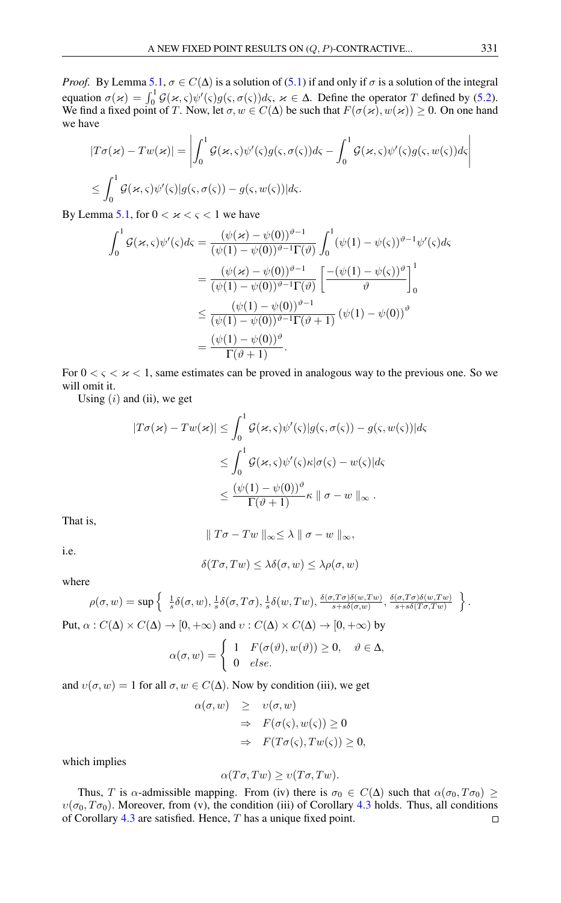*Proof.* By Lemma [5.1,](#page-12-0)  $\sigma \in C(\Delta)$  is a solution of [\(5.1\)](#page-11-1) if and only if  $\sigma$  is a solution of the integral equation  $\sigma(x) = \int_0^1 \mathcal{G}(x, \varsigma) \psi'(\varsigma) g(\varsigma, \sigma(\varsigma)) d\varsigma$ ,  $x \in \Delta$ . Define the operator T defined by [\(5.2\)](#page-12-1). We find a fixed point of T. Now, let  $\sigma, w \in C(\Delta)$  be such that  $F(\sigma(\kappa), w(\kappa)) \ge 0$ . On one hand we have

$$
|T\sigma(\varkappa) - Tw(\varkappa)| = \left| \int_0^1 \mathcal{G}(\varkappa, \varsigma) \psi'(\varsigma) g(\varsigma, \sigma(\varsigma)) d\varsigma - \int_0^1 \mathcal{G}(\varkappa, \varsigma) \psi'(\varsigma) g(\varsigma, w(\varsigma)) d\varsigma \right|
$$
  

$$
\leq \int_0^1 \mathcal{G}(\varkappa, \varsigma) \psi'(\varsigma) |g(\varsigma, \sigma(\varsigma)) - g(\varsigma, w(\varsigma)) |d\varsigma.
$$

By Lemma [5.1,](#page-12-0) for  $0 < x < \varsigma < 1$  we have

$$
\int_{0}^{1} \mathcal{G}(\varkappa, \varsigma) \psi'(\varsigma) d\varsigma = \frac{(\psi(\varkappa) - \psi(0))^{\vartheta - 1}}{(\psi(1) - \psi(0))^{\vartheta - 1} \Gamma(\vartheta)} \int_{0}^{1} (\psi(1) - \psi(\varsigma))^{\vartheta - 1} \psi'(\varsigma) d\varsigma
$$

$$
= \frac{(\psi(\varkappa) - \psi(0))^{\vartheta - 1}}{(\psi(1) - \psi(0))^{\vartheta - 1} \Gamma(\vartheta)} \left[ \frac{-(\psi(1) - \psi(\varsigma))^{\vartheta}}{\vartheta} \right]_{0}^{1}
$$

$$
\leq \frac{(\psi(1) - \psi(0))^{\vartheta - 1}}{(\psi(1) - \psi(0))^{\vartheta - 1} \Gamma(\vartheta + 1)} (\psi(1) - \psi(0))^{\vartheta}
$$

$$
= \frac{(\psi(1) - \psi(0))^{\vartheta}}{\Gamma(\vartheta + 1)}.
$$

For  $0 \lt \zeta \lt \varkappa \lt 1$ , same estimates can be proved in analogous way to the previous one. So we will omit it.

Using  $(i)$  and  $(ii)$ , we get

$$
|T\sigma(\varkappa) - Tw(\varkappa)| \leq \int_0^1 \mathcal{G}(\varkappa, \varsigma) \psi'(\varsigma) |g(\varsigma, \sigma(\varsigma)) - g(\varsigma, w(\varsigma))| d\varsigma
$$
  

$$
\leq \int_0^1 \mathcal{G}(\varkappa, \varsigma) \psi'(\varsigma) \kappa | \sigma(\varsigma) - w(\varsigma) | d\varsigma
$$
  

$$
\leq \frac{(\psi(1) - \psi(0))^{\vartheta}}{\Gamma(\vartheta + 1)} \kappa \| \sigma - w \|_{\infty} .
$$

That is,

$$
\|T\sigma-Tw\|_{\infty} \leq \lambda \|\sigma-w\|_{\infty},
$$

i.e.

$$
\delta(T\sigma,Tw) \leq \lambda \delta(\sigma,w) \leq \lambda \rho(\sigma,w)
$$

where

$$
\rho(\sigma, w) = \sup \left\{ \begin{array}{l} \frac{1}{s} \delta(\sigma, w), \frac{1}{s} \delta(\sigma, T\sigma), \frac{1}{s} \delta(w, Tw), \frac{\delta(\sigma, T\sigma)\delta(w, Tw)}{s + s\delta(\sigma, w)}, \frac{\delta(\sigma, T\sigma)\delta(w, Tw)}{s + s\delta(T\sigma, Tw)} \end{array} \right\}.
$$
  
Put,  $\alpha : C(\Delta) \times C(\Delta) \to [0, +\infty)$  and  $v : C(\Delta) \times C(\Delta) \to [0, +\infty)$  by

$$
\alpha(\sigma, w) = \begin{cases} 1 & F(\sigma(\vartheta), w(\vartheta)) \ge 0, \quad \vartheta \in \Delta, \\ 0 & else. \end{cases}
$$

and  $v(\sigma, w) = 1$  for all  $\sigma, w \in C(\Delta)$ . Now by condition (iii), we get

$$
\alpha(\sigma, w) \geq v(\sigma, w)
$$
  
\n
$$
\Rightarrow F(\sigma(\varsigma), w(\varsigma)) \geq 0
$$
  
\n
$$
\Rightarrow F(T\sigma(\varsigma), Tw(\varsigma)) \geq 0,
$$

which implies

$$
\alpha(T\sigma,Tw) \ge \upsilon(T\sigma,Tw).
$$

Thus, T is  $\alpha$ -admissible mapping. From (iv) there is  $\sigma_0 \in C(\Delta)$  such that  $\alpha(\sigma_0, T\sigma_0) \geq$  $v(\sigma_0, T\sigma_0)$ . Moreover, from (v), the condition (iii) of Corollary [4.3](#page-11-0) holds. Thus, all conditions of Corollary [4.3](#page-11-0) are satisfied. Hence, T has a unique fixed point. $\Box$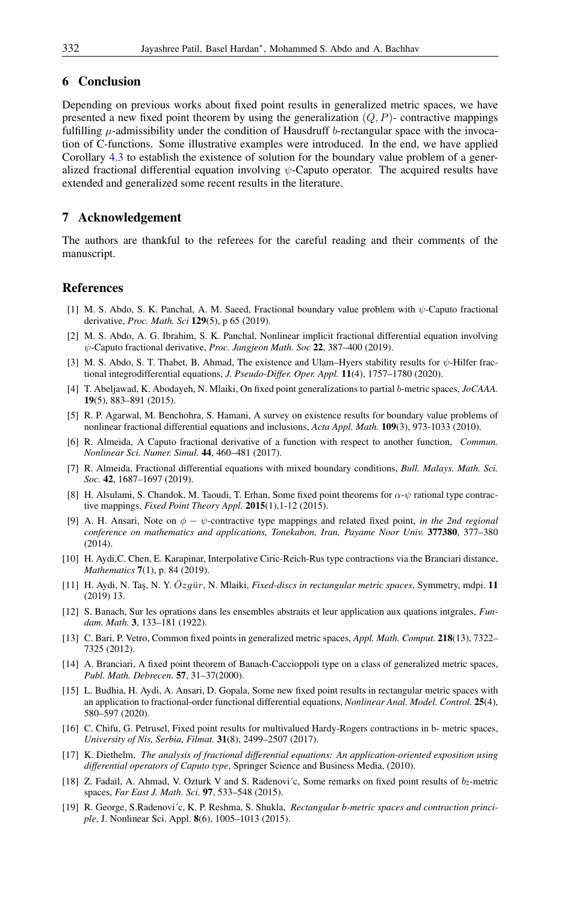### 6 Conclusion

Depending on previous works about fixed point results in generalized metric spaces, we have presented a new fixed point theorem by using the generalization  $(Q, P)$ - contractive mappings fulfilling  $\mu$ -admissibility under the condition of Hausdruff b-rectangular space with the invocation of C-functions. Some illustrative examples were introduced. In the end, we have applied Corollary [4.3](#page-11-0) to establish the existence of solution for the boundary value problem of a generalized fractional differential equation involving  $\psi$ -Caputo operator. The acquired results have extended and generalized some recent results in the literature.

### 7 Acknowledgement

The authors are thankful to the referees for the careful reading and their comments of the manuscript.

#### <span id="page-14-0"></span>References

- <span id="page-14-14"></span>[1] M. S. Abdo, S. K. Panchal, A. M. Saeed, Fractional boundary value problem with ψ-Caputo fractional derivative, *Proc. Math. Sci* 129(5), p 65 (2019).
- <span id="page-14-15"></span>[2] M. S. Abdo, A. G. Ibrahim, S. K. Panchal, Nonlinear implicit fractional differential equation involving ψ-Caputo fractional derivative, *Proc. Jangjeon Math. Soc* 22, 387–400 (2019).
- <span id="page-14-16"></span>[3] M. S. Abdo, S. T. Thabet, B. Ahmad, The existence and Ulam–Hyers stability results for ψ-Hilfer fractional integrodifferential equations, *J. Pseudo-Differ. Oper. Appl.* 11(4), 1757–1780 (2020).
- <span id="page-14-6"></span>[4] T. Abeljawad, K. Abodayeh, N. Mlaiki, On fixed point generalizations to partial b-metric spaces, *JoCAAA.* 19(5), 883–891 (2015).
- <span id="page-14-17"></span>[5] R. P. Agarwal, M. Benchohra, S. Hamani, A survey on existence results for boundary value problems of nonlinear fractional differential equations and inclusions, *Acta Appl. Math.* 109(3), 973-1033 (2010).
- <span id="page-14-18"></span>[6] R. Almeida, A Caputo fractional derivative of a function with respect to another function, *Commun. Nonlinear Sci. Numer. Simul.* 44, 460–481 (2017).
- <span id="page-14-19"></span>[7] R. Almeida, Fractional differential equations with mixed boundary conditions, *Bull. Malays. Math. Sci. Soc.* 42, 1687–1697 (2019).
- <span id="page-14-8"></span>[8] H. Alsulami, S. Chandok, M. Taoudi, T. Erhan, Some fixed point theorems for  $\alpha$ - $\psi$  rational type contractive mappings, *Fixed Point Theory Appl.* 2015(1),1-12 (2015).
- <span id="page-14-9"></span>[9] A. H. Ansari, Note on φ − ψ-contractive type mappings and related fixed point, *in the 2nd regional conference on mathematics and applications, Tonekabon, Iran, Payame Noor Univ.* 377380, 377–380 (2014).
- <span id="page-14-3"></span>[10] H. Aydi,C. Chen, E. Karapinar, Interpolative Ciric-Reich-Rus type contractions via the Branciari distance, *Mathematics* 7(1), p. 84 (2019).
- <span id="page-14-4"></span>[11] H. Aydi, N. Taş, N. Y. Özgür, N. Mlaiki, *Fixed-discs in rectangular metric spaces*, Symmetry, mdpi. 11 (2019) 13.
- <span id="page-14-1"></span>[12] S. Banach, Sur les oprations dans les ensembles abstraits et leur application aux quations intgrales, *Fundam. Math.* 3, 133–181 (1922).
- <span id="page-14-7"></span>[13] C. Bari, P. Vetro, Common fixed points in generalized metric spaces, *Appl. Math. Comput.* 218(13), 7322– 7325 (2012).
- <span id="page-14-2"></span>[14] A. Branciari, A fixed point theorem of Banach-Caccioppoli type on a class of generalized metric spaces, *Publ. Math. Debrecen.* 57, 31–37(2000).
- <span id="page-14-10"></span>[15] L. Budhia, H. Aydi, A. Ansari, D. Gopala, Some new fixed point results in rectangular metric spaces with an application to fractional-order functional differential equations, *Nonlinear Anal. Model. Control.* 25(4), 580–597 (2020).
- <span id="page-14-11"></span>[16] C. Chifu, G. Petrusel, Fixed point results for multivalued Hardy-Rogers contractions in b- metric spaces, *University of Nis, Serbia, Filmat.* 31(8), 2499–2507 (2017).
- <span id="page-14-13"></span>[17] K. Diethelm, *The analysis of fractional differential equations: An application-oriented exposition using differential operators of Caputo type*, Springer Science and Business Media, (2010).
- <span id="page-14-12"></span>[18] Z. Fadail, A. Ahmad, V. Ozturk V and S. Radenović, Some remarks on fixed point results of  $b_2$ -metric spaces, *Far East J. Math. Sci.* 97, 533–548 (2015).
- <span id="page-14-5"></span>[19] R. George, S.Radenovi´c, K. P. Reshma, S. Shukla, *Rectangular b-metric spaces and contraction principle*, J. Nonlinear Sci. Appl. 8(6), 1005–1013 (2015).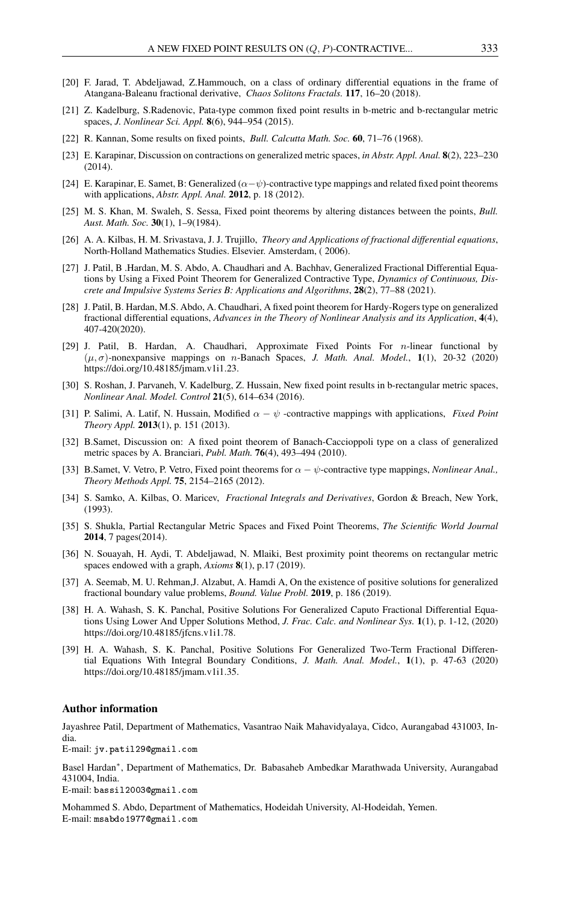- <span id="page-15-16"></span>[20] F. Jarad, T. Abdeljawad, Z.Hammouch, on a class of ordinary differential equations in the frame of Atangana-Baleanu fractional derivative, *Chaos Solitons Fractals.* 117, 16–20 (2018).
- <span id="page-15-10"></span>[21] Z. Kadelburg, S.Radenovic, Pata-type common fixed point results in b-metric and b-rectangular metric spaces, *J. Nonlinear Sci. Appl.* 8(6), 944–954 (2015).
- <span id="page-15-0"></span>[22] R. Kannan, Some results on fixed points, *Bull. Calcutta Math. Soc.* 60, 71–76 (1968).
- <span id="page-15-5"></span>[23] E. Karapinar, Discussion on contractions on generalized metric spaces, *in Abstr. Appl. Anal.* 8(2), 223–230  $(2014)$ .
- <span id="page-15-12"></span>[24] E. Karapinar, E. Samet, B: Generalized ( $\alpha-\psi$ )-contractive type mappings and related fixed point theorems with applications, *Abstr. Appl. Anal.* 2012, p. 18 (2012).
- <span id="page-15-13"></span>[25] M. S. Khan, M. Swaleh, S. Sessa, Fixed point theorems by altering distances between the points, *Bull. Aust. Math. Soc.* 30(1), 1–9(1984).
- <span id="page-15-14"></span>[26] A. A. Kilbas, H. M. Srivastava, J. J. Trujillo, *Theory and Applications of fractional differential equations*, North-Holland Mathematics Studies. Elsevier. Amsterdam, ( 2006).
- <span id="page-15-6"></span>[27] J. Patil, B .Hardan, M. S. Abdo, A. Chaudhari and A. Bachhav, Generalized Fractional Differential Equations by Using a Fixed Point Theorem for Generalized Contractive Type, *Dynamics of Continuous, Discrete and Impulsive Systems Series B: Applications and Algorithms*, 28(2), 77–88 (2021).
- <span id="page-15-7"></span>[28] J. Patil, B. Hardan, M.S. Abdo, A. Chaudhari, A fixed point theorem for Hardy-Rogers type on generalized fractional differential equations, *Advances in the Theory of Nonlinear Analysis and its Application*, 4(4), 407-420(2020).
- <span id="page-15-8"></span>[29] J. Patil, B. Hardan, A. Chaudhari, Approximate Fixed Points For n-linear functional by  $(\mu, \sigma)$ -nonexpansive mappings on *n*-Banach Spaces, *J. Math. Anal. Model.*, 1(1), 20-32 (2020) https://doi.org/10.48185/jmam.v1i1.23.
- <span id="page-15-11"></span>[30] S. Roshan, J. Parvaneh, V. Kadelburg, Z. Hussain, New fixed point results in b-rectangular metric spaces, *Nonlinear Anal. Model. Control* 21(5), 614–634 (2016).
- <span id="page-15-9"></span>[31] P. Salimi, A. Latif, N. Hussain, Modified  $\alpha - \psi$  -contractive mappings with applications, *Fixed Point Theory Appl.* 2013(1), p. 151 (2013).
- <span id="page-15-2"></span>[32] B.Samet, Discussion on: A fixed point theorem of Banach-Caccioppoli type on a class of generalized metric spaces by A. Branciari, *Publ. Math.* 76(4), 493–494 (2010).
- <span id="page-15-4"></span>[33] B.Samet, V. Vetro, P. Vetro, Fixed point theorems for α − ψ-contractive type mappings, *Nonlinear Anal., Theory Methods Appl.* 75, 2154–2165 (2012).
- <span id="page-15-15"></span>[34] S. Samko, A. Kilbas, O. Maricev, *Fractional Integrals and Derivatives*, Gordon & Breach, New York, (1993).
- <span id="page-15-3"></span>[35] S. Shukla, Partial Rectangular Metric Spaces and Fixed Point Theorems, *The Scientific World Journal* 2014, 7 pages(2014).
- <span id="page-15-1"></span>[36] N. Souayah, H. Aydi, T. Abdeljawad, N. Mlaiki, Best proximity point theorems on rectangular metric spaces endowed with a graph, *Axioms* 8(1), p.17 (2019).
- <span id="page-15-17"></span>[37] A. Seemab, M. U. Rehman,J. Alzabut, A. Hamdi A, On the existence of positive solutions for generalized fractional boundary value problems, *Bound. Value Probl.* 2019, p. 186 (2019).
- <span id="page-15-18"></span>[38] H. A. Wahash, S. K. Panchal, Positive Solutions For Generalized Caputo Fractional Differential Equations Using Lower And Upper Solutions Method, *J. Frac. Calc. and Nonlinear Sys.* 1(1), p. 1-12, (2020) https://doi.org/10.48185/jfcns.v1i1.78.
- <span id="page-15-19"></span>[39] H. A. Wahash, S. K. Panchal, Positive Solutions For Generalized Two-Term Fractional Differential Equations With Integral Boundary Conditions, *J. Math. Anal. Model.*, 1(1), p. 47-63 (2020) https://doi.org/10.48185/jmam.v1i1.35.

#### Author information

Jayashree Patil, Department of Mathematics, Vasantrao Naik Mahavidyalaya, Cidco, Aurangabad 431003, India.

E-mail: jv.patil29@gmail.com

Basel Hardan<sup>∗</sup> , Department of Mathematics, Dr. Babasaheb Ambedkar Marathwada University, Aurangabad 431004, India.

E-mail: bassil2003@gmail.com

Mohammed S. Abdo, Department of Mathematics, Hodeidah University, Al-Hodeidah, Yemen. E-mail: msabdo1977@gmail.com